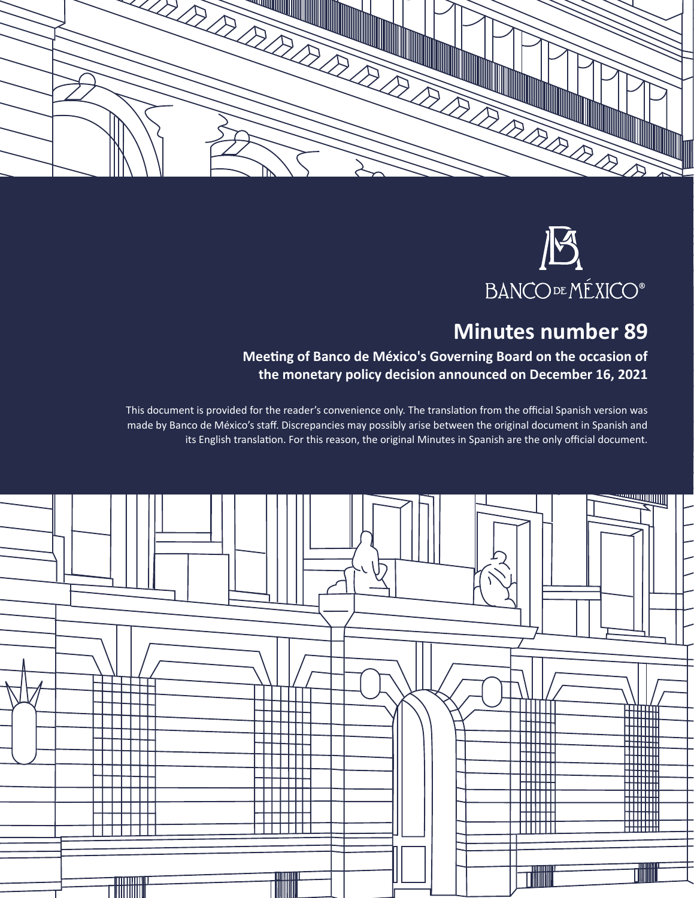



# **Minutes number 89**

## **Meeting of Banco de México's Governing Board on the occasion of the monetary policy decision announced on December 16, 2021**

This document is provided for the reader's convenience only. The translation from the official Spanish version was made by Banco de México's staff. Discrepancies may possibly arise between the original document in Spanish and its English translation. For this reason, the original Minutes in Spanish are the only official document.

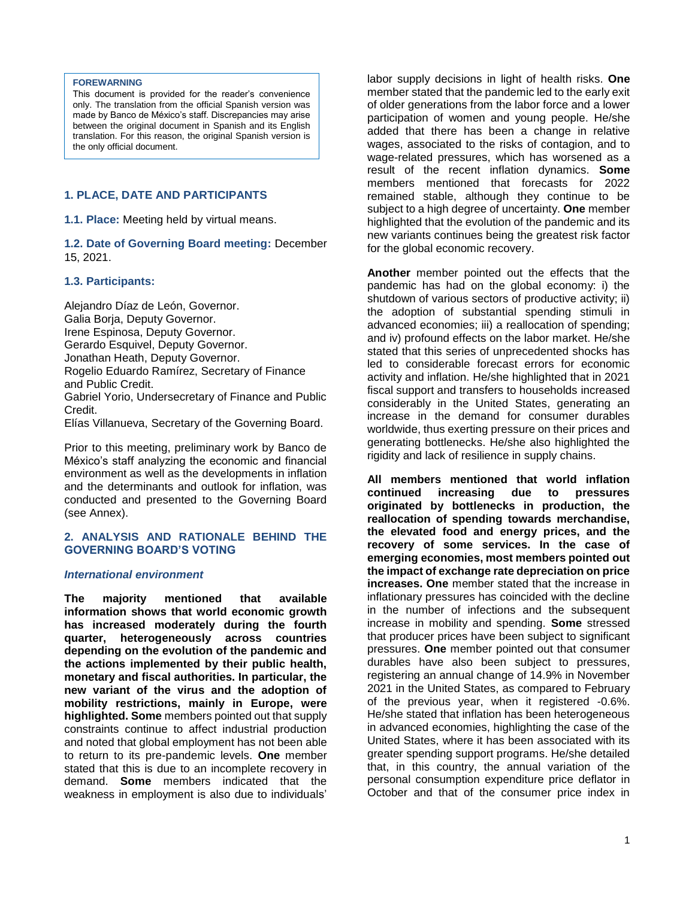#### **FOREWARNING**

This document is provided for the reader's convenience only. The translation from the official Spanish version was made by Banco de México's staff. Discrepancies may arise between the original document in Spanish and its English translation. For this reason, the original Spanish version is the only official document.

#### **1. PLACE, DATE AND PARTICIPANTS**

**1.1. Place:** Meeting held by virtual means.

**1.2. Date of Governing Board meeting:** December 15, 2021.

#### **1.3. Participants:**

Alejandro Díaz de León, Governor. Galia Borja, Deputy Governor. Irene Espinosa, Deputy Governor. Gerardo Esquivel, Deputy Governor. Jonathan Heath, Deputy Governor. Rogelio Eduardo Ramírez, Secretary of Finance and Public Credit. Gabriel Yorio, Undersecretary of Finance and Public

Credit.

Elías Villanueva, Secretary of the Governing Board.

Prior to this meeting, preliminary work by Banco de México's staff analyzing the economic and financial environment as well as the developments in inflation and the determinants and outlook for inflation, was conducted and presented to the Governing Board (see Annex).

#### **2. ANALYSIS AND RATIONALE BEHIND THE GOVERNING BOARD'S VOTING**

#### *International environment*

**The majority mentioned that available information shows that world economic growth has increased moderately during the fourth quarter, heterogeneously across countries depending on the evolution of the pandemic and the actions implemented by their public health, monetary and fiscal authorities. In particular, the new variant of the virus and the adoption of mobility restrictions, mainly in Europe, were highlighted. Some** members pointed out that supply constraints continue to affect industrial production and noted that global employment has not been able to return to its pre-pandemic levels. **One** member stated that this is due to an incomplete recovery in demand. **Some** members indicated that the weakness in employment is also due to individuals'

labor supply decisions in light of health risks. **One** member stated that the pandemic led to the early exit of older generations from the labor force and a lower participation of women and young people. He/she added that there has been a change in relative wages, associated to the risks of contagion, and to wage-related pressures, which has worsened as a result of the recent inflation dynamics. **Some** members mentioned that forecasts for 2022 remained stable, although they continue to be subject to a high degree of uncertainty. **One** member highlighted that the evolution of the pandemic and its new variants continues being the greatest risk factor for the global economic recovery.

**Another** member pointed out the effects that the pandemic has had on the global economy: i) the shutdown of various sectors of productive activity; ii) the adoption of substantial spending stimuli in advanced economies; iii) a reallocation of spending; and iv) profound effects on the labor market. He/she stated that this series of unprecedented shocks has led to considerable forecast errors for economic activity and inflation. He/she highlighted that in 2021 fiscal support and transfers to households increased considerably in the United States, generating an increase in the demand for consumer durables worldwide, thus exerting pressure on their prices and generating bottlenecks. He/she also highlighted the rigidity and lack of resilience in supply chains.

**All members mentioned that world inflation continued increasing due to pressures originated by bottlenecks in production, the reallocation of spending towards merchandise, the elevated food and energy prices, and the recovery of some services. In the case of emerging economies, most members pointed out the impact of exchange rate depreciation on price increases. One** member stated that the increase in inflationary pressures has coincided with the decline in the number of infections and the subsequent increase in mobility and spending. **Some** stressed that producer prices have been subject to significant pressures. **One** member pointed out that consumer durables have also been subject to pressures, registering an annual change of 14.9% in November 2021 in the United States, as compared to February of the previous year, when it registered -0.6%. He/she stated that inflation has been heterogeneous in advanced economies, highlighting the case of the United States, where it has been associated with its greater spending support programs. He/she detailed that, in this country, the annual variation of the personal consumption expenditure price deflator in October and that of the consumer price index in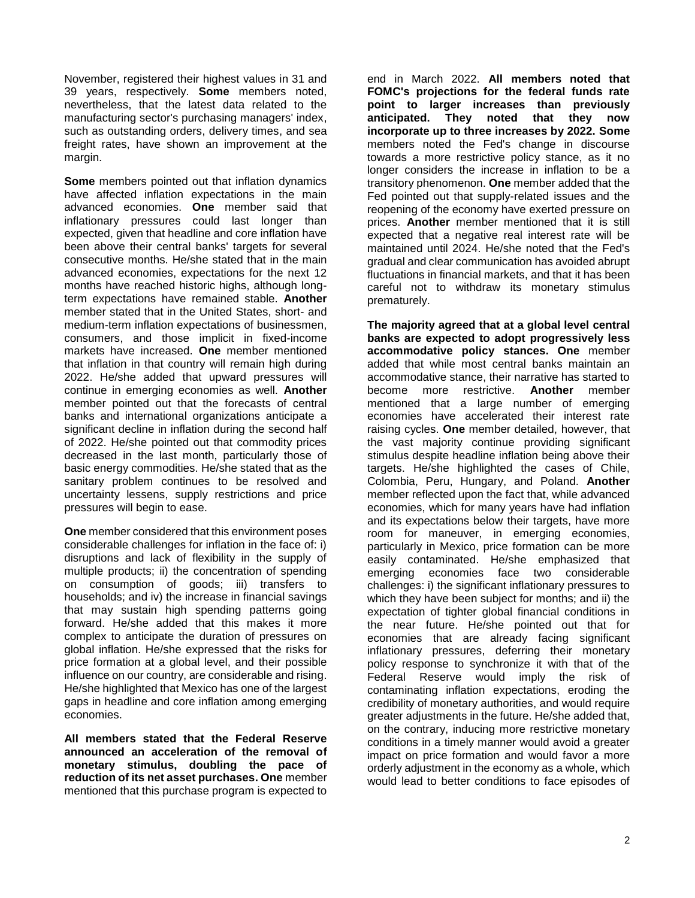November, registered their highest values in 31 and 39 years, respectively. **Some** members noted, nevertheless, that the latest data related to the manufacturing sector's purchasing managers' index, such as outstanding orders, delivery times, and sea freight rates, have shown an improvement at the margin.

**Some** members pointed out that inflation dynamics have affected inflation expectations in the main advanced economies. **One** member said that inflationary pressures could last longer than expected, given that headline and core inflation have been above their central banks' targets for several consecutive months. He/she stated that in the main advanced economies, expectations for the next 12 months have reached historic highs, although longterm expectations have remained stable. **Another** member stated that in the United States, short- and medium-term inflation expectations of businessmen, consumers, and those implicit in fixed-income markets have increased. **One** member mentioned that inflation in that country will remain high during 2022. He/she added that upward pressures will continue in emerging economies as well. **Another** member pointed out that the forecasts of central banks and international organizations anticipate a significant decline in inflation during the second half of 2022. He/she pointed out that commodity prices decreased in the last month, particularly those of basic energy commodities. He/she stated that as the sanitary problem continues to be resolved and uncertainty lessens, supply restrictions and price pressures will begin to ease.

**One** member considered that this environment poses considerable challenges for inflation in the face of: i) disruptions and lack of flexibility in the supply of multiple products; ii) the concentration of spending on consumption of goods; iii) transfers to households; and iv) the increase in financial savings that may sustain high spending patterns going forward. He/she added that this makes it more complex to anticipate the duration of pressures on global inflation. He/she expressed that the risks for price formation at a global level, and their possible influence on our country, are considerable and rising. He/she highlighted that Mexico has one of the largest gaps in headline and core inflation among emerging economies.

**All members stated that the Federal Reserve announced an acceleration of the removal of monetary stimulus, doubling the pace of reduction of its net asset purchases. One** member mentioned that this purchase program is expected to

end in March 2022. **All members noted that FOMC's projections for the federal funds rate point to larger increases than previously anticipated. They noted that they now incorporate up to three increases by 2022. Some** members noted the Fed's change in discourse towards a more restrictive policy stance, as it no longer considers the increase in inflation to be a transitory phenomenon. **One** member added that the Fed pointed out that supply-related issues and the reopening of the economy have exerted pressure on prices. **Another** member mentioned that it is still expected that a negative real interest rate will be maintained until 2024. He/she noted that the Fed's gradual and clear communication has avoided abrupt fluctuations in financial markets, and that it has been careful not to withdraw its monetary stimulus prematurely.

**The majority agreed that at a global level central banks are expected to adopt progressively less accommodative policy stances. One** member added that while most central banks maintain an accommodative stance, their narrative has started to become more restrictive. **Another** member mentioned that a large number of emerging economies have accelerated their interest rate raising cycles. **One** member detailed, however, that the vast majority continue providing significant stimulus despite headline inflation being above their targets. He/she highlighted the cases of Chile, Colombia, Peru, Hungary, and Poland. **Another** member reflected upon the fact that, while advanced economies, which for many years have had inflation and its expectations below their targets, have more room for maneuver, in emerging economies, particularly in Mexico, price formation can be more easily contaminated. He/she emphasized that emerging economies face two considerable challenges: i) the significant inflationary pressures to which they have been subject for months; and ii) the expectation of tighter global financial conditions in the near future. He/she pointed out that for economies that are already facing significant inflationary pressures, deferring their monetary policy response to synchronize it with that of the Federal Reserve would imply the risk of contaminating inflation expectations, eroding the credibility of monetary authorities, and would require greater adjustments in the future. He/she added that, on the contrary, inducing more restrictive monetary conditions in a timely manner would avoid a greater impact on price formation and would favor a more orderly adjustment in the economy as a whole, which would lead to better conditions to face episodes of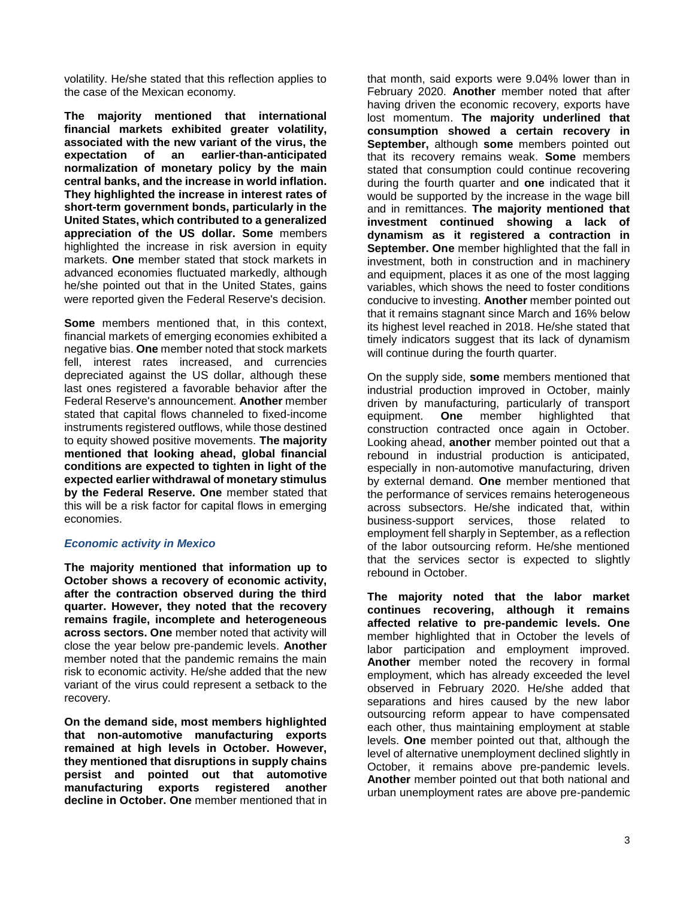volatility. He/she stated that this reflection applies to the case of the Mexican economy.

**The majority mentioned that international financial markets exhibited greater volatility, associated with the new variant of the virus, the expectation of an earlier-than-anticipated normalization of monetary policy by the main central banks, and the increase in world inflation. They highlighted the increase in interest rates of short-term government bonds, particularly in the United States, which contributed to a generalized appreciation of the US dollar. Some** members highlighted the increase in risk aversion in equity markets. **One** member stated that stock markets in advanced economies fluctuated markedly, although he/she pointed out that in the United States, gains were reported given the Federal Reserve's decision.

**Some** members mentioned that, in this context, financial markets of emerging economies exhibited a negative bias. **One** member noted that stock markets fell, interest rates increased, and currencies depreciated against the US dollar, although these last ones registered a favorable behavior after the Federal Reserve's announcement. **Another** member stated that capital flows channeled to fixed-income instruments registered outflows, while those destined to equity showed positive movements. **The majority mentioned that looking ahead, global financial conditions are expected to tighten in light of the expected earlier withdrawal of monetary stimulus by the Federal Reserve. One** member stated that this will be a risk factor for capital flows in emerging economies.

#### *Economic activity in Mexico*

**The majority mentioned that information up to October shows a recovery of economic activity, after the contraction observed during the third quarter. However, they noted that the recovery remains fragile, incomplete and heterogeneous across sectors. One** member noted that activity will close the year below pre-pandemic levels. **Another** member noted that the pandemic remains the main risk to economic activity. He/she added that the new variant of the virus could represent a setback to the recovery.

**On the demand side, most members highlighted that non-automotive manufacturing exports remained at high levels in October. However, they mentioned that disruptions in supply chains persist and pointed out that automotive manufacturing exports registered another decline in October. One** member mentioned that in

that month, said exports were 9.04% lower than in February 2020. **Another** member noted that after having driven the economic recovery, exports have lost momentum. **The majority underlined that consumption showed a certain recovery in September,** although **some** members pointed out that its recovery remains weak. **Some** members stated that consumption could continue recovering during the fourth quarter and **one** indicated that it would be supported by the increase in the wage bill and in remittances. **The majority mentioned that investment continued showing a lack of dynamism as it registered a contraction in September. One** member highlighted that the fall in investment, both in construction and in machinery and equipment, places it as one of the most lagging variables, which shows the need to foster conditions conducive to investing. **Another** member pointed out that it remains stagnant since March and 16% below its highest level reached in 2018. He/she stated that timely indicators suggest that its lack of dynamism will continue during the fourth quarter.

On the supply side, **some** members mentioned that industrial production improved in October, mainly driven by manufacturing, particularly of transport equipment. **One** member highlighted that construction contracted once again in October. Looking ahead, **another** member pointed out that a rebound in industrial production is anticipated, especially in non-automotive manufacturing, driven by external demand. **One** member mentioned that the performance of services remains heterogeneous across subsectors. He/she indicated that, within business-support services, those related to employment fell sharply in September, as a reflection of the labor outsourcing reform. He/she mentioned that the services sector is expected to slightly rebound in October.

**The majority noted that the labor market continues recovering, although it remains affected relative to pre-pandemic levels. One**  member highlighted that in October the levels of labor participation and employment improved. **Another** member noted the recovery in formal employment, which has already exceeded the level observed in February 2020. He/she added that separations and hires caused by the new labor outsourcing reform appear to have compensated each other, thus maintaining employment at stable levels. **One** member pointed out that, although the level of alternative unemployment declined slightly in October, it remains above pre-pandemic levels. **Another** member pointed out that both national and urban unemployment rates are above pre-pandemic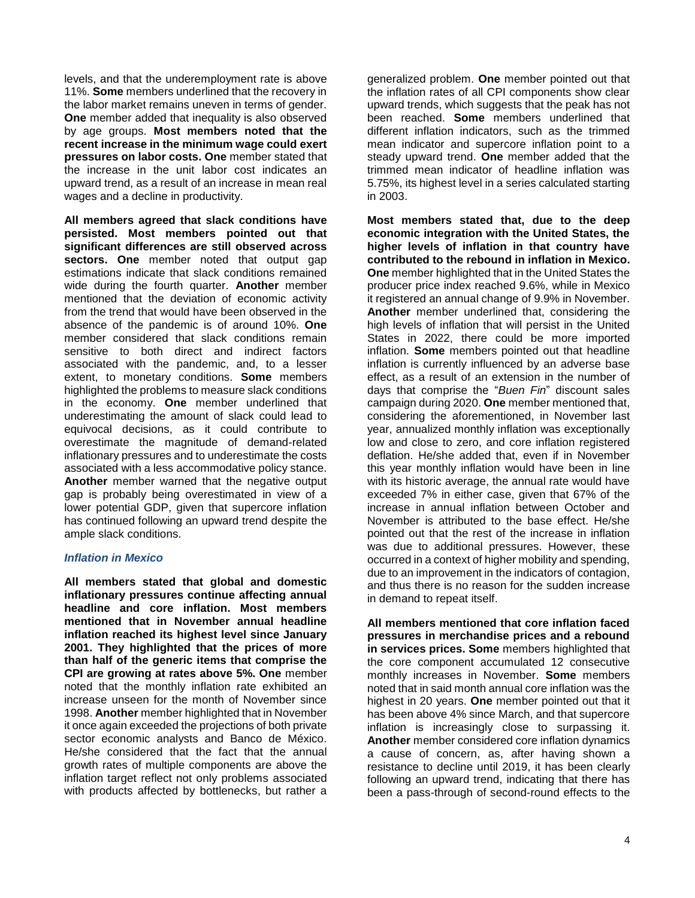levels, and that the underemployment rate is above 11%. **Some** members underlined that the recovery in the labor market remains uneven in terms of gender. **One** member added that inequality is also observed by age groups. **Most members noted that the recent increase in the minimum wage could exert pressures on labor costs. One** member stated that the increase in the unit labor cost indicates an upward trend, as a result of an increase in mean real wages and a decline in productivity.

**All members agreed that slack conditions have persisted. Most members pointed out that significant differences are still observed across sectors. One** member noted that output gap estimations indicate that slack conditions remained wide during the fourth quarter. **Another** member mentioned that the deviation of economic activity from the trend that would have been observed in the absence of the pandemic is of around 10%. **One** member considered that slack conditions remain sensitive to both direct and indirect factors associated with the pandemic, and, to a lesser extent, to monetary conditions. **Some** members highlighted the problems to measure slack conditions in the economy. **One** member underlined that underestimating the amount of slack could lead to equivocal decisions, as it could contribute to overestimate the magnitude of demand-related inflationary pressures and to underestimate the costs associated with a less accommodative policy stance. **Another** member warned that the negative output gap is probably being overestimated in view of a lower potential GDP, given that supercore inflation has continued following an upward trend despite the ample slack conditions.

#### *Inflation in Mexico*

**All members stated that global and domestic inflationary pressures continue affecting annual headline and core inflation. Most members mentioned that in November annual headline inflation reached its highest level since January 2001. They highlighted that the prices of more than half of the generic items that comprise the CPI are growing at rates above 5%. One** member noted that the monthly inflation rate exhibited an increase unseen for the month of November since 1998. **Another** member highlighted that in November it once again exceeded the projections of both private sector economic analysts and Banco de México. He/she considered that the fact that the annual growth rates of multiple components are above the inflation target reflect not only problems associated with products affected by bottlenecks, but rather a

generalized problem. **One** member pointed out that the inflation rates of all CPI components show clear upward trends, which suggests that the peak has not been reached. **Some** members underlined that different inflation indicators, such as the trimmed mean indicator and supercore inflation point to a steady upward trend. **One** member added that the trimmed mean indicator of headline inflation was 5.75%, its highest level in a series calculated starting in 2003.

**Most members stated that, due to the deep economic integration with the United States, the higher levels of inflation in that country have contributed to the rebound in inflation in Mexico. One** member highlighted that in the United States the producer price index reached 9.6%, while in Mexico it registered an annual change of 9.9% in November. **Another** member underlined that, considering the high levels of inflation that will persist in the United States in 2022, there could be more imported inflation. **Some** members pointed out that headline inflation is currently influenced by an adverse base effect, as a result of an extension in the number of days that comprise the "*Buen Fin*" discount sales campaign during 2020. **One** member mentioned that, considering the aforementioned, in November last year, annualized monthly inflation was exceptionally low and close to zero, and core inflation registered deflation. He/she added that, even if in November this year monthly inflation would have been in line with its historic average, the annual rate would have exceeded 7% in either case, given that 67% of the increase in annual inflation between October and November is attributed to the base effect. He/she pointed out that the rest of the increase in inflation was due to additional pressures. However, these occurred in a context of higher mobility and spending, due to an improvement in the indicators of contagion, and thus there is no reason for the sudden increase in demand to repeat itself.

**All members mentioned that core inflation faced pressures in merchandise prices and a rebound in services prices. Some** members highlighted that the core component accumulated 12 consecutive monthly increases in November. **Some** members noted that in said month annual core inflation was the highest in 20 years. **One** member pointed out that it has been above 4% since March, and that supercore inflation is increasingly close to surpassing it. **Another** member considered core inflation dynamics a cause of concern, as, after having shown a resistance to decline until 2019, it has been clearly following an upward trend, indicating that there has been a pass-through of second-round effects to the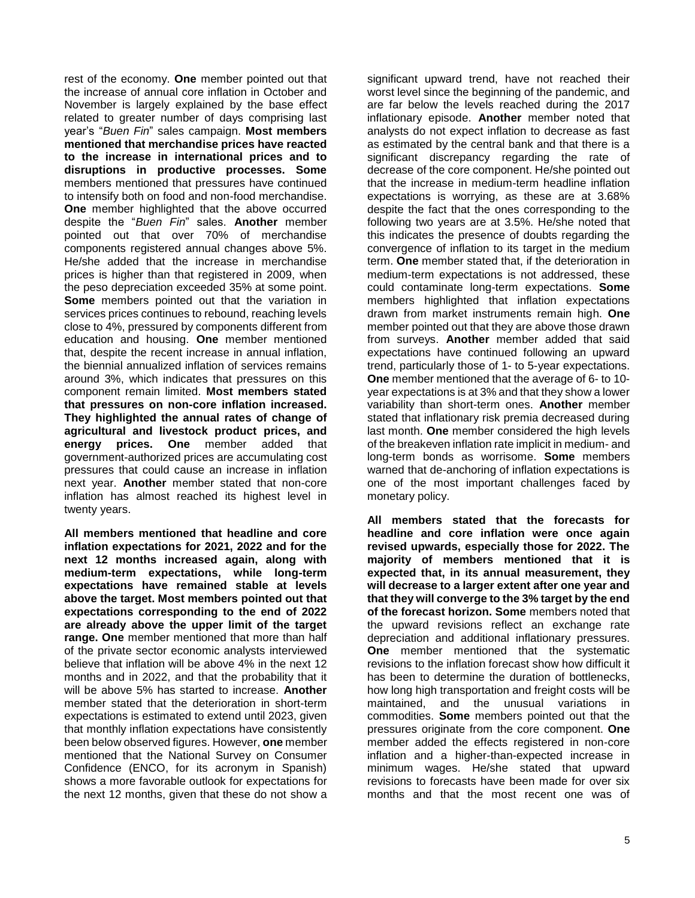rest of the economy. **One** member pointed out that the increase of annual core inflation in October and November is largely explained by the base effect related to greater number of days comprising last year's "*Buen Fin*" sales campaign. **Most members mentioned that merchandise prices have reacted to the increase in international prices and to disruptions in productive processes. Some**  members mentioned that pressures have continued to intensify both on food and non-food merchandise. **One** member highlighted that the above occurred despite the "*Buen Fin*" sales. **Another** member pointed out that over 70% of merchandise components registered annual changes above 5%. He/she added that the increase in merchandise prices is higher than that registered in 2009, when the peso depreciation exceeded 35% at some point. **Some** members pointed out that the variation in services prices continues to rebound, reaching levels close to 4%, pressured by components different from education and housing. **One** member mentioned that, despite the recent increase in annual inflation, the biennial annualized inflation of services remains around 3%, which indicates that pressures on this component remain limited. **Most members stated that pressures on non-core inflation increased. They highlighted the annual rates of change of agricultural and livestock product prices, and energy prices. One** member added that government-authorized prices are accumulating cost pressures that could cause an increase in inflation next year. **Another** member stated that non-core inflation has almost reached its highest level in twenty years.

**All members mentioned that headline and core inflation expectations for 2021, 2022 and for the next 12 months increased again, along with medium-term expectations, while long-term expectations have remained stable at levels above the target. Most members pointed out that expectations corresponding to the end of 2022 are already above the upper limit of the target range. One** member mentioned that more than half of the private sector economic analysts interviewed believe that inflation will be above 4% in the next 12 months and in 2022, and that the probability that it will be above 5% has started to increase. **Another** member stated that the deterioration in short-term expectations is estimated to extend until 2023, given that monthly inflation expectations have consistently been below observed figures. However, **one** member mentioned that the National Survey on Consumer Confidence (ENCO, for its acronym in Spanish) shows a more favorable outlook for expectations for the next 12 months, given that these do not show a

significant upward trend, have not reached their worst level since the beginning of the pandemic, and are far below the levels reached during the 2017 inflationary episode. **Another** member noted that analysts do not expect inflation to decrease as fast as estimated by the central bank and that there is a significant discrepancy regarding the rate of decrease of the core component. He/she pointed out that the increase in medium-term headline inflation expectations is worrying, as these are at 3.68% despite the fact that the ones corresponding to the following two years are at 3.5%. He/she noted that this indicates the presence of doubts regarding the convergence of inflation to its target in the medium term. **One** member stated that, if the deterioration in medium-term expectations is not addressed, these could contaminate long-term expectations. **Some** members highlighted that inflation expectations drawn from market instruments remain high. **One** member pointed out that they are above those drawn from surveys. **Another** member added that said expectations have continued following an upward trend, particularly those of 1- to 5-year expectations. **One** member mentioned that the average of 6- to 10 year expectations is at 3% and that they show a lower variability than short-term ones. **Another** member stated that inflationary risk premia decreased during last month. **One** member considered the high levels of the breakeven inflation rate implicit in medium- and long-term bonds as worrisome. **Some** members warned that de-anchoring of inflation expectations is one of the most important challenges faced by monetary policy.

**All members stated that the forecasts for headline and core inflation were once again revised upwards, especially those for 2022. The majority of members mentioned that it is expected that, in its annual measurement, they will decrease to a larger extent after one year and that they will converge to the 3% target by the end of the forecast horizon. Some** members noted that the upward revisions reflect an exchange rate depreciation and additional inflationary pressures. **One** member mentioned that the systematic revisions to the inflation forecast show how difficult it has been to determine the duration of bottlenecks, how long high transportation and freight costs will be maintained, and the unusual variations in commodities. **Some** members pointed out that the pressures originate from the core component. **One** member added the effects registered in non-core inflation and a higher-than-expected increase in minimum wages. He/she stated that upward revisions to forecasts have been made for over six months and that the most recent one was of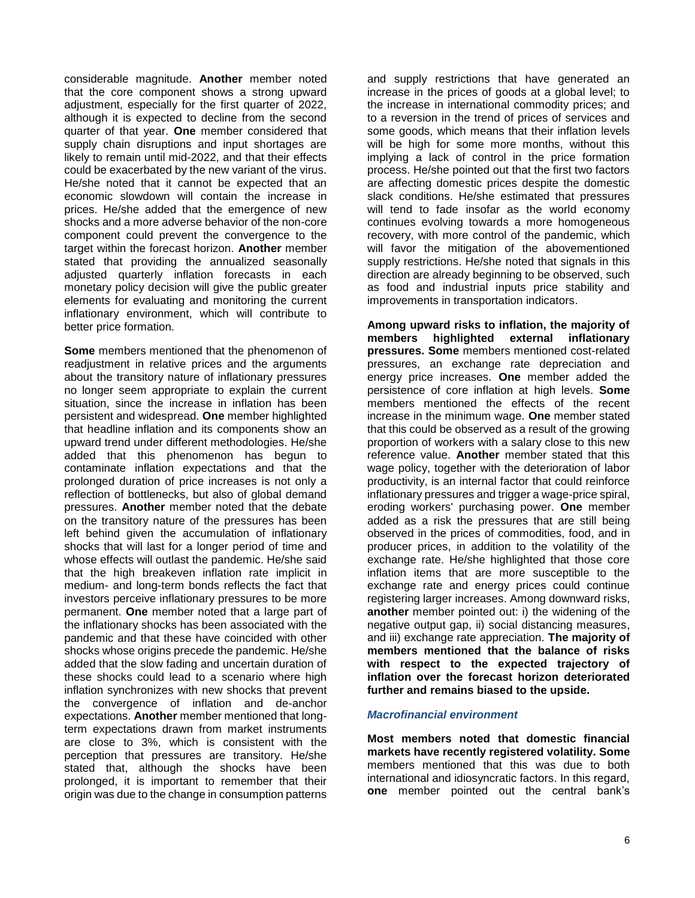considerable magnitude. **Another** member noted that the core component shows a strong upward adjustment, especially for the first quarter of 2022, although it is expected to decline from the second quarter of that year. **One** member considered that supply chain disruptions and input shortages are likely to remain until mid-2022, and that their effects could be exacerbated by the new variant of the virus. He/she noted that it cannot be expected that an economic slowdown will contain the increase in prices. He/she added that the emergence of new shocks and a more adverse behavior of the non-core component could prevent the convergence to the target within the forecast horizon. **Another** member stated that providing the annualized seasonally adjusted quarterly inflation forecasts in each monetary policy decision will give the public greater elements for evaluating and monitoring the current inflationary environment, which will contribute to better price formation.

**Some** members mentioned that the phenomenon of readjustment in relative prices and the arguments about the transitory nature of inflationary pressures no longer seem appropriate to explain the current situation, since the increase in inflation has been persistent and widespread. **One** member highlighted that headline inflation and its components show an upward trend under different methodologies. He/she added that this phenomenon has begun to contaminate inflation expectations and that the prolonged duration of price increases is not only a reflection of bottlenecks, but also of global demand pressures. **Another** member noted that the debate on the transitory nature of the pressures has been left behind given the accumulation of inflationary shocks that will last for a longer period of time and whose effects will outlast the pandemic. He/she said that the high breakeven inflation rate implicit in medium- and long-term bonds reflects the fact that investors perceive inflationary pressures to be more permanent. **One** member noted that a large part of the inflationary shocks has been associated with the pandemic and that these have coincided with other shocks whose origins precede the pandemic. He/she added that the slow fading and uncertain duration of these shocks could lead to a scenario where high inflation synchronizes with new shocks that prevent the convergence of inflation and de-anchor expectations. **Another** member mentioned that longterm expectations drawn from market instruments are close to 3%, which is consistent with the perception that pressures are transitory. He/she stated that, although the shocks have been prolonged, it is important to remember that their origin was due to the change in consumption patterns

and supply restrictions that have generated an increase in the prices of goods at a global level; to the increase in international commodity prices; and to a reversion in the trend of prices of services and some goods, which means that their inflation levels will be high for some more months, without this implying a lack of control in the price formation process. He/she pointed out that the first two factors are affecting domestic prices despite the domestic slack conditions. He/she estimated that pressures will tend to fade insofar as the world economy continues evolving towards a more homogeneous recovery, with more control of the pandemic, which will favor the mitigation of the abovementioned supply restrictions. He/she noted that signals in this direction are already beginning to be observed, such as food and industrial inputs price stability and improvements in transportation indicators.

**Among upward risks to inflation, the majority of members highlighted external inflationary pressures. Some** members mentioned cost-related pressures, an exchange rate depreciation and energy price increases. **One** member added the persistence of core inflation at high levels. **Some**  members mentioned the effects of the recent increase in the minimum wage. **One** member stated that this could be observed as a result of the growing proportion of workers with a salary close to this new reference value. **Another** member stated that this wage policy, together with the deterioration of labor productivity, is an internal factor that could reinforce inflationary pressures and trigger a wage-price spiral, eroding workers' purchasing power. **One** member added as a risk the pressures that are still being observed in the prices of commodities, food, and in producer prices, in addition to the volatility of the exchange rate. He/she highlighted that those core inflation items that are more susceptible to the exchange rate and energy prices could continue registering larger increases. Among downward risks, **another** member pointed out: i) the widening of the negative output gap, ii) social distancing measures, and iii) exchange rate appreciation. **The majority of members mentioned that the balance of risks with respect to the expected trajectory of inflation over the forecast horizon deteriorated further and remains biased to the upside.** 

#### *Macrofinancial environment*

**Most members noted that domestic financial markets have recently registered volatility. Some**  members mentioned that this was due to both international and idiosyncratic factors. In this regard, **one** member pointed out the central bank's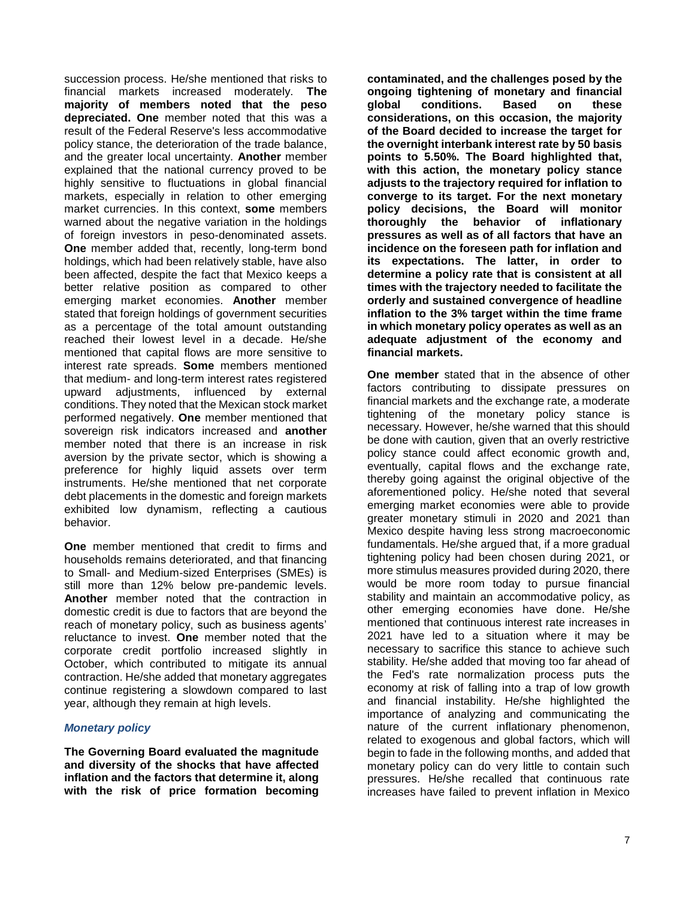succession process. He/she mentioned that risks to financial markets increased moderately. **The majority of members noted that the peso depreciated. One** member noted that this was a result of the Federal Reserve's less accommodative policy stance, the deterioration of the trade balance, and the greater local uncertainty. **Another** member explained that the national currency proved to be highly sensitive to fluctuations in global financial markets, especially in relation to other emerging market currencies. In this context, **some** members warned about the negative variation in the holdings of foreign investors in peso-denominated assets. **One** member added that, recently, long-term bond holdings, which had been relatively stable, have also been affected, despite the fact that Mexico keeps a better relative position as compared to other emerging market economies. **Another** member stated that foreign holdings of government securities as a percentage of the total amount outstanding reached their lowest level in a decade. He/she mentioned that capital flows are more sensitive to interest rate spreads. **Some** members mentioned that medium- and long-term interest rates registered upward adjustments, influenced by external conditions. They noted that the Mexican stock market performed negatively. **One** member mentioned that sovereign risk indicators increased and **another** member noted that there is an increase in risk aversion by the private sector, which is showing a preference for highly liquid assets over term instruments. He/she mentioned that net corporate debt placements in the domestic and foreign markets exhibited low dynamism, reflecting a cautious behavior.

**One** member mentioned that credit to firms and households remains deteriorated, and that financing to Small- and Medium-sized Enterprises (SMEs) is still more than 12% below pre-pandemic levels. **Another** member noted that the contraction in domestic credit is due to factors that are beyond the reach of monetary policy, such as business agents' reluctance to invest. **One** member noted that the corporate credit portfolio increased slightly in October, which contributed to mitigate its annual contraction. He/she added that monetary aggregates continue registering a slowdown compared to last year, although they remain at high levels.

#### *Monetary policy*

**The Governing Board evaluated the magnitude and diversity of the shocks that have affected inflation and the factors that determine it, along with the risk of price formation becoming** 

**contaminated, and the challenges posed by the ongoing tightening of monetary and financial global conditions. Based on these considerations, on this occasion, the majority of the Board decided to increase the target for the overnight interbank interest rate by 50 basis points to 5.50%. The Board highlighted that, with this action, the monetary policy stance adjusts to the trajectory required for inflation to converge to its target. For the next monetary policy decisions, the Board will monitor thoroughly the behavior of inflationary pressures as well as of all factors that have an incidence on the foreseen path for inflation and its expectations. The latter, in order to determine a policy rate that is consistent at all times with the trajectory needed to facilitate the orderly and sustained convergence of headline inflation to the 3% target within the time frame in which monetary policy operates as well as an adequate adjustment of the economy and financial markets.**

**One member** stated that in the absence of other factors contributing to dissipate pressures on financial markets and the exchange rate, a moderate tightening of the monetary policy stance is necessary. However, he/she warned that this should be done with caution, given that an overly restrictive policy stance could affect economic growth and, eventually, capital flows and the exchange rate, thereby going against the original objective of the aforementioned policy. He/she noted that several emerging market economies were able to provide greater monetary stimuli in 2020 and 2021 than Mexico despite having less strong macroeconomic fundamentals. He/she argued that, if a more gradual tightening policy had been chosen during 2021, or more stimulus measures provided during 2020, there would be more room today to pursue financial stability and maintain an accommodative policy, as other emerging economies have done. He/she mentioned that continuous interest rate increases in 2021 have led to a situation where it may be necessary to sacrifice this stance to achieve such stability. He/she added that moving too far ahead of the Fed's rate normalization process puts the economy at risk of falling into a trap of low growth and financial instability. He/she highlighted the importance of analyzing and communicating the nature of the current inflationary phenomenon, related to exogenous and global factors, which will begin to fade in the following months, and added that monetary policy can do very little to contain such pressures. He/she recalled that continuous rate increases have failed to prevent inflation in Mexico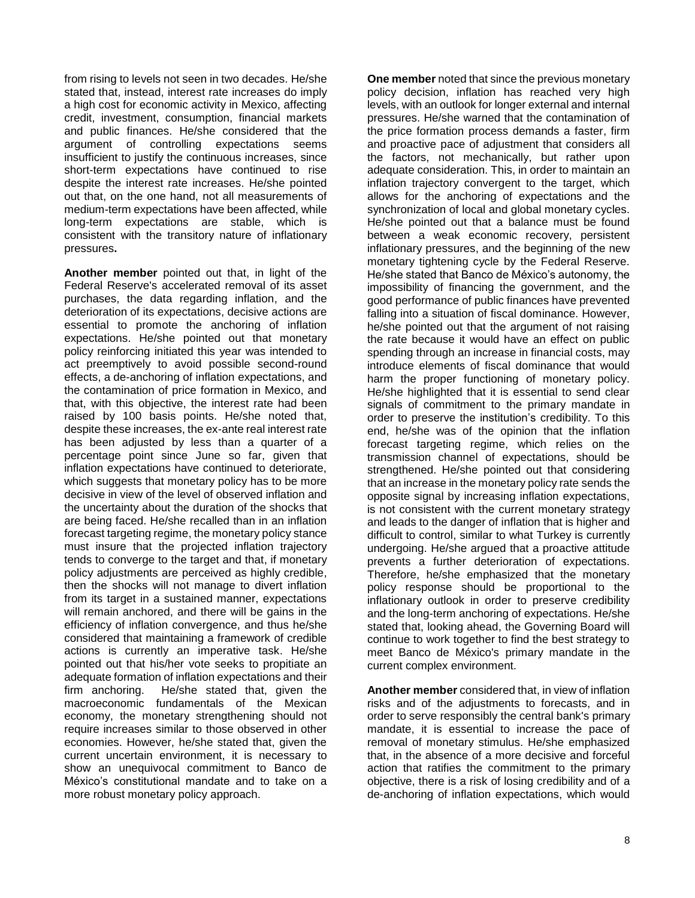from rising to levels not seen in two decades. He/she stated that, instead, interest rate increases do imply a high cost for economic activity in Mexico, affecting credit, investment, consumption, financial markets and public finances. He/she considered that the argument of controlling expectations seems insufficient to justify the continuous increases, since short-term expectations have continued to rise despite the interest rate increases. He/she pointed out that, on the one hand, not all measurements of medium-term expectations have been affected, while long-term expectations are stable, which is consistent with the transitory nature of inflationary pressures**.**

**Another member** pointed out that, in light of the Federal Reserve's accelerated removal of its asset purchases, the data regarding inflation, and the deterioration of its expectations, decisive actions are essential to promote the anchoring of inflation expectations. He/she pointed out that monetary policy reinforcing initiated this year was intended to act preemptively to avoid possible second-round effects, a de-anchoring of inflation expectations, and the contamination of price formation in Mexico, and that, with this objective, the interest rate had been raised by 100 basis points. He/she noted that, despite these increases, the ex-ante real interest rate has been adjusted by less than a quarter of a percentage point since June so far, given that inflation expectations have continued to deteriorate, which suggests that monetary policy has to be more decisive in view of the level of observed inflation and the uncertainty about the duration of the shocks that are being faced. He/she recalled than in an inflation forecast targeting regime, the monetary policy stance must insure that the projected inflation trajectory tends to converge to the target and that, if monetary policy adjustments are perceived as highly credible, then the shocks will not manage to divert inflation from its target in a sustained manner, expectations will remain anchored, and there will be gains in the efficiency of inflation convergence, and thus he/she considered that maintaining a framework of credible actions is currently an imperative task. He/she pointed out that his/her vote seeks to propitiate an adequate formation of inflation expectations and their firm anchoring. He/she stated that, given the macroeconomic fundamentals of the Mexican economy, the monetary strengthening should not require increases similar to those observed in other economies. However, he/she stated that, given the current uncertain environment, it is necessary to show an unequivocal commitment to Banco de México's constitutional mandate and to take on a more robust monetary policy approach.

**Another member** considered that, in view of inflation risks and of the adjustments to forecasts, and in order to serve responsibly the central bank's primary mandate, it is essential to increase the pace of removal of monetary stimulus. He/she emphasized that, in the absence of a more decisive and forceful action that ratifies the commitment to the primary objective, there is a risk of losing credibility and of a de-anchoring of inflation expectations, which would

**One member** noted that since the previous monetary policy decision, inflation has reached very high levels, with an outlook for longer external and internal pressures. He/she warned that the contamination of the price formation process demands a faster, firm and proactive pace of adjustment that considers all the factors, not mechanically, but rather upon adequate consideration. This, in order to maintain an inflation trajectory convergent to the target, which allows for the anchoring of expectations and the synchronization of local and global monetary cycles. He/she pointed out that a balance must be found between a weak economic recovery, persistent inflationary pressures, and the beginning of the new monetary tightening cycle by the Federal Reserve. He/she stated that Banco de México's autonomy, the impossibility of financing the government, and the good performance of public finances have prevented falling into a situation of fiscal dominance. However, he/she pointed out that the argument of not raising the rate because it would have an effect on public spending through an increase in financial costs, may introduce elements of fiscal dominance that would harm the proper functioning of monetary policy. He/she highlighted that it is essential to send clear signals of commitment to the primary mandate in order to preserve the institution's credibility. To this end, he/she was of the opinion that the inflation forecast targeting regime, which relies on the transmission channel of expectations, should be strengthened. He/she pointed out that considering that an increase in the monetary policy rate sends the opposite signal by increasing inflation expectations, is not consistent with the current monetary strategy and leads to the danger of inflation that is higher and difficult to control, similar to what Turkey is currently undergoing. He/she argued that a proactive attitude prevents a further deterioration of expectations. Therefore, he/she emphasized that the monetary policy response should be proportional to the inflationary outlook in order to preserve credibility and the long-term anchoring of expectations. He/she stated that, looking ahead, the Governing Board will continue to work together to find the best strategy to meet Banco de México's primary mandate in the current complex environment.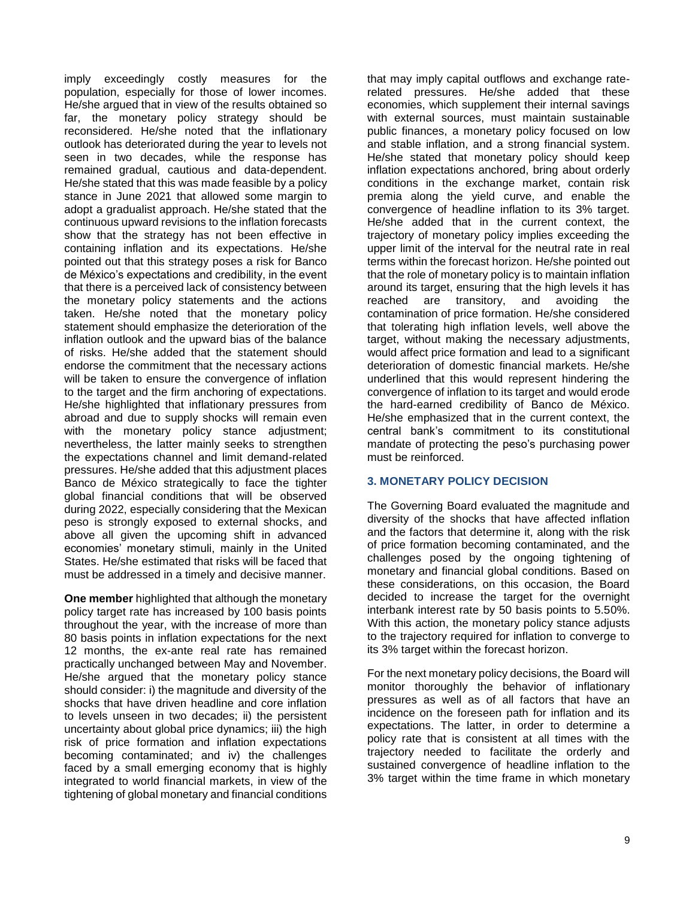imply exceedingly costly measures for the population, especially for those of lower incomes. He/she argued that in view of the results obtained so far, the monetary policy strategy should be reconsidered. He/she noted that the inflationary outlook has deteriorated during the year to levels not seen in two decades, while the response has remained gradual, cautious and data-dependent. He/she stated that this was made feasible by a policy stance in June 2021 that allowed some margin to adopt a gradualist approach. He/she stated that the continuous upward revisions to the inflation forecasts show that the strategy has not been effective in containing inflation and its expectations. He/she pointed out that this strategy poses a risk for Banco de México's expectations and credibility, in the event that there is a perceived lack of consistency between the monetary policy statements and the actions taken. He/she noted that the monetary policy statement should emphasize the deterioration of the inflation outlook and the upward bias of the balance of risks. He/she added that the statement should endorse the commitment that the necessary actions will be taken to ensure the convergence of inflation to the target and the firm anchoring of expectations. He/she highlighted that inflationary pressures from abroad and due to supply shocks will remain even with the monetary policy stance adjustment; nevertheless, the latter mainly seeks to strengthen the expectations channel and limit demand-related pressures. He/she added that this adjustment places Banco de México strategically to face the tighter global financial conditions that will be observed during 2022, especially considering that the Mexican peso is strongly exposed to external shocks, and above all given the upcoming shift in advanced economies' monetary stimuli, mainly in the United States. He/she estimated that risks will be faced that must be addressed in a timely and decisive manner.

**One member** highlighted that although the monetary policy target rate has increased by 100 basis points throughout the year, with the increase of more than 80 basis points in inflation expectations for the next 12 months, the ex-ante real rate has remained practically unchanged between May and November. He/she argued that the monetary policy stance should consider: i) the magnitude and diversity of the shocks that have driven headline and core inflation to levels unseen in two decades; ii) the persistent uncertainty about global price dynamics; iii) the high risk of price formation and inflation expectations becoming contaminated; and iv) the challenges faced by a small emerging economy that is highly integrated to world financial markets, in view of the tightening of global monetary and financial conditions

that may imply capital outflows and exchange raterelated pressures. He/she added that these economies, which supplement their internal savings with external sources, must maintain sustainable public finances, a monetary policy focused on low and stable inflation, and a strong financial system. He/she stated that monetary policy should keep inflation expectations anchored, bring about orderly conditions in the exchange market, contain risk premia along the yield curve, and enable the convergence of headline inflation to its 3% target. He/she added that in the current context, the trajectory of monetary policy implies exceeding the upper limit of the interval for the neutral rate in real terms within the forecast horizon. He/she pointed out that the role of monetary policy is to maintain inflation around its target, ensuring that the high levels it has reached are transitory, and avoiding the contamination of price formation. He/she considered that tolerating high inflation levels, well above the target, without making the necessary adjustments, would affect price formation and lead to a significant deterioration of domestic financial markets. He/she underlined that this would represent hindering the convergence of inflation to its target and would erode the hard-earned credibility of Banco de México. He/she emphasized that in the current context, the central bank's commitment to its constitutional mandate of protecting the peso's purchasing power must be reinforced.

## **3. MONETARY POLICY DECISION**

The Governing Board evaluated the magnitude and diversity of the shocks that have affected inflation and the factors that determine it, along with the risk of price formation becoming contaminated, and the challenges posed by the ongoing tightening of monetary and financial global conditions. Based on these considerations, on this occasion, the Board decided to increase the target for the overnight interbank interest rate by 50 basis points to 5.50%. With this action, the monetary policy stance adjusts to the trajectory required for inflation to converge to its 3% target within the forecast horizon.

For the next monetary policy decisions, the Board will monitor thoroughly the behavior of inflationary pressures as well as of all factors that have an incidence on the foreseen path for inflation and its expectations. The latter, in order to determine a policy rate that is consistent at all times with the trajectory needed to facilitate the orderly and sustained convergence of headline inflation to the 3% target within the time frame in which monetary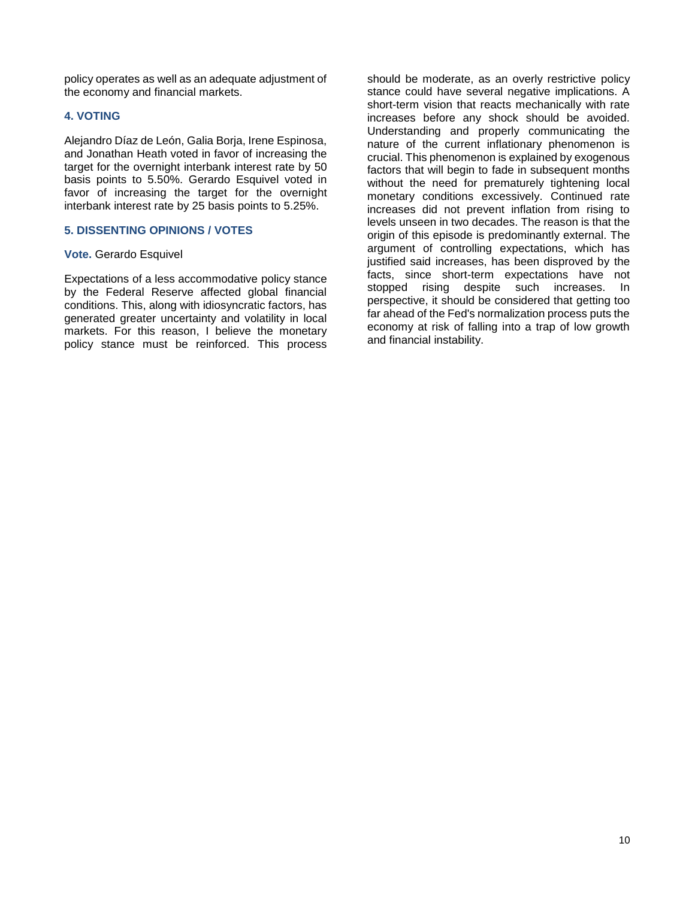policy operates as well as an adequate adjustment of the economy and financial markets.

## **4. VOTING**

Alejandro Díaz de León, Galia Borja, Irene Espinosa, and Jonathan Heath voted in favor of increasing the target for the overnight interbank interest rate by 50 basis points to 5.50%. Gerardo Esquivel voted in favor of increasing the target for the overnight interbank interest rate by 25 basis points to 5.25%.

### **5. DISSENTING OPINIONS / VOTES**

### **Vote.** Gerardo Esquivel

Expectations of a less accommodative policy stance by the Federal Reserve affected global financial conditions. This, along with idiosyncratic factors, has generated greater uncertainty and volatility in local markets. For this reason, I believe the monetary policy stance must be reinforced. This process should be moderate, as an overly restrictive policy stance could have several negative implications. A short-term vision that reacts mechanically with rate increases before any shock should be avoided. Understanding and properly communicating the nature of the current inflationary phenomenon is crucial. This phenomenon is explained by exogenous factors that will begin to fade in subsequent months without the need for prematurely tightening local monetary conditions excessively. Continued rate increases did not prevent inflation from rising to levels unseen in two decades. The reason is that the origin of this episode is predominantly external. The argument of controlling expectations, which has justified said increases, has been disproved by the facts, since short-term expectations have not stopped rising despite such increases. In perspective, it should be considered that getting too far ahead of the Fed's normalization process puts the economy at risk of falling into a trap of low growth and financial instability.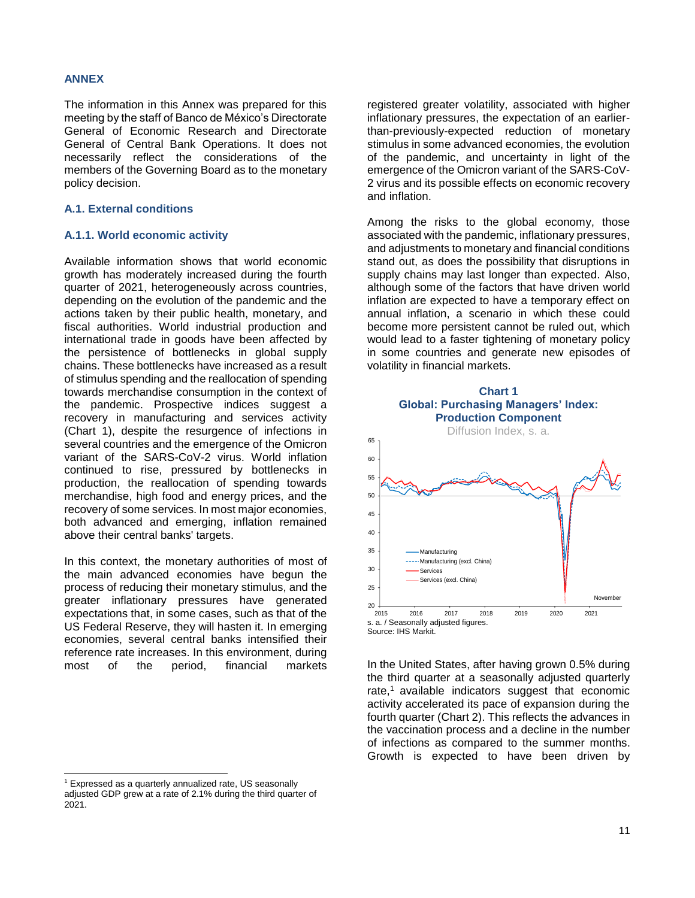#### **ANNEX**

The information in this Annex was prepared for this meeting by the staff of Banco de México's Directorate General of Economic Research and Directorate General of Central Bank Operations. It does not necessarily reflect the considerations of the members of the Governing Board as to the monetary policy decision.

#### **A.1. External conditions**

#### **A.1.1. World economic activity**

Available information shows that world economic growth has moderately increased during the fourth quarter of 2021, heterogeneously across countries, depending on the evolution of the pandemic and the actions taken by their public health, monetary, and fiscal authorities. World industrial production and international trade in goods have been affected by the persistence of bottlenecks in global supply chains. These bottlenecks have increased as a result of stimulus spending and the reallocation of spending towards merchandise consumption in the context of the pandemic. Prospective indices suggest a recovery in manufacturing and services activity [\(Chart 1\)](#page-12-0), despite the resurgence of infections in several countries and the emergence of the Omicron variant of the SARS-CoV-2 virus. World inflation continued to rise, pressured by bottlenecks in production, the reallocation of spending towards merchandise, high food and energy prices, and the recovery of some services. In most major economies, both advanced and emerging, inflation remained above their central banks' targets.

In this context, the monetary authorities of most of the main advanced economies have begun the process of reducing their monetary stimulus, and the greater inflationary pressures have generated expectations that, in some cases, such as that of the US Federal Reserve, they will hasten it. In emerging economies, several central banks intensified their reference rate increases. In this environment, during most of the period, financial markets

<sup>1</sup> Expressed as a quarterly annualized rate, US seasonally adjusted GDP grew at a rate of 2.1% during the third quarter of 2021.

registered greater volatility, associated with higher inflationary pressures, the expectation of an earlierthan-previously-expected reduction of monetary stimulus in some advanced economies, the evolution of the pandemic, and uncertainty in light of the emergence of the Omicron variant of the SARS-CoV-2 virus and its possible effects on economic recovery and inflation.

Among the risks to the global economy, those associated with the pandemic, inflationary pressures, and adjustments to monetary and financial conditions stand out, as does the possibility that disruptions in supply chains may last longer than expected. Also, although some of the factors that have driven world inflation are expected to have a temporary effect on annual inflation, a scenario in which these could become more persistent cannot be ruled out, which would lead to a faster tightening of monetary policy in some countries and generate new episodes of volatility in financial markets.

<span id="page-12-0"></span>

In the United States, after having grown 0.5% during the third quarter at a seasonally adjusted quarterly rate, $1$  available indicators suggest that economic activity accelerated its pace of expansion during the fourth quarter [\(Chart 2\)](#page-13-0). This reflects the advances in the vaccination process and a decline in the number of infections as compared to the summer months. Growth is expected to have been driven by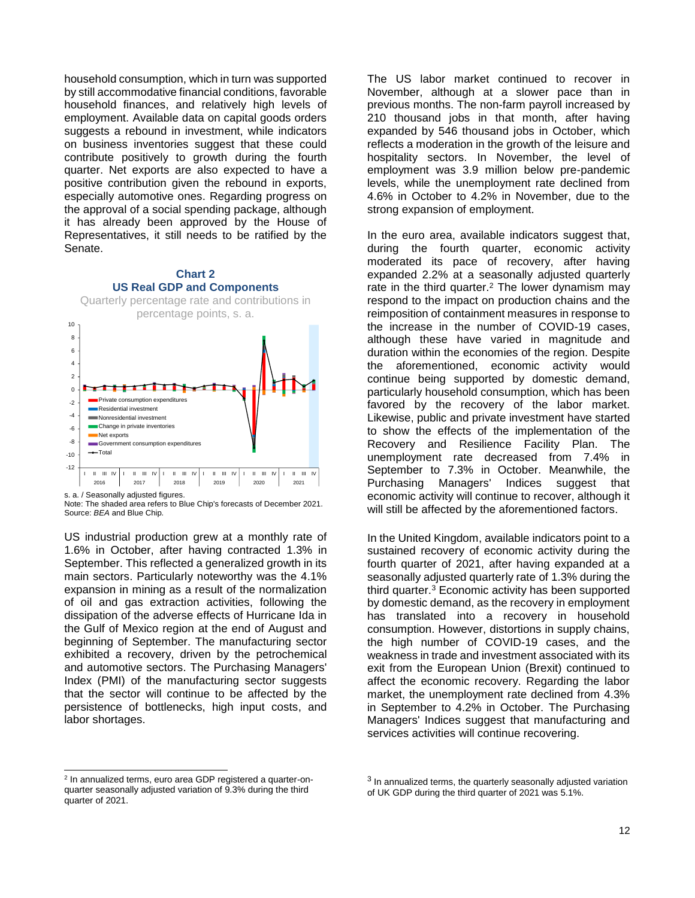household consumption, which in turn was supported by still accommodative financial conditions, favorable household finances, and relatively high levels of employment. Available data on capital goods orders suggests a rebound in investment, while indicators on business inventories suggest that these could contribute positively to growth during the fourth quarter. Net exports are also expected to have a positive contribution given the rebound in exports, especially automotive ones. Regarding progress on the approval of a social spending package, although it has already been approved by the House of Representatives, it still needs to be ratified by the Senate.

## **Chart 2 US Real GDP and Components**

<span id="page-13-0"></span>

s. a. / Seasonally adjusted figures.

l

Note: The shaded area refers to Blue Chip's forecasts of December 2021. Source: *BEA* and Blue Chip*.*

US industrial production grew at a monthly rate of 1.6% in October, after having contracted 1.3% in September. This reflected a generalized growth in its main sectors. Particularly noteworthy was the 4.1% expansion in mining as a result of the normalization of oil and gas extraction activities, following the dissipation of the adverse effects of Hurricane Ida in the Gulf of Mexico region at the end of August and beginning of September. The manufacturing sector exhibited a recovery, driven by the petrochemical and automotive sectors. The Purchasing Managers' Index (PMI) of the manufacturing sector suggests that the sector will continue to be affected by the persistence of bottlenecks, high input costs, and labor shortages.

The US labor market continued to recover in November, although at a slower pace than in previous months. The non-farm payroll increased by 210 thousand jobs in that month, after having expanded by 546 thousand jobs in October, which reflects a moderation in the growth of the leisure and hospitality sectors. In November, the level of employment was 3.9 million below pre-pandemic levels, while the unemployment rate declined from 4.6% in October to 4.2% in November, due to the strong expansion of employment.

In the euro area, available indicators suggest that, during the fourth quarter, economic activity moderated its pace of recovery, after having expanded 2.2% at a seasonally adjusted quarterly rate in the third quarter.<sup>2</sup> The lower dynamism may respond to the impact on production chains and the reimposition of containment measures in response to the increase in the number of COVID-19 cases, although these have varied in magnitude and duration within the economies of the region. Despite the aforementioned, economic activity would continue being supported by domestic demand, particularly household consumption, which has been favored by the recovery of the labor market. Likewise, public and private investment have started to show the effects of the implementation of the Recovery and Resilience Facility Plan. The unemployment rate decreased from 7.4% in September to 7.3% in October. Meanwhile, the Purchasing Managers' Indices suggest that economic activity will continue to recover, although it will still be affected by the aforementioned factors.

In the United Kingdom, available indicators point to a sustained recovery of economic activity during the fourth quarter of 2021, after having expanded at a seasonally adjusted quarterly rate of 1.3% during the third quarter.<sup>3</sup> Economic activity has been supported by domestic demand, as the recovery in employment has translated into a recovery in household consumption. However, distortions in supply chains, the high number of COVID-19 cases, and the weakness in trade and investment associated with its exit from the European Union (Brexit) continued to affect the economic recovery. Regarding the labor market, the unemployment rate declined from 4.3% in September to 4.2% in October. The Purchasing Managers' Indices suggest that manufacturing and services activities will continue recovering.

<sup>&</sup>lt;sup>2</sup> In annualized terms, euro area GDP registered a quarter-onquarter seasonally adjusted variation of 9.3% during the third quarter of 2021.

 $3$  In annualized terms, the quarterly seasonally adjusted variation of UK GDP during the third quarter of 2021 was 5.1%.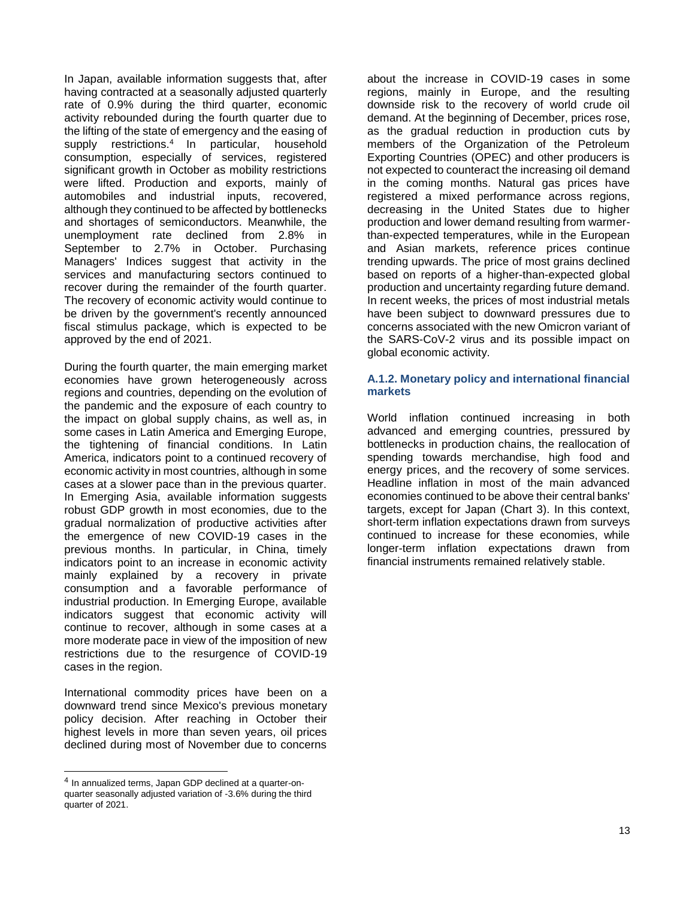In Japan, available information suggests that, after having contracted at a seasonally adjusted quarterly rate of 0.9% during the third quarter, economic activity rebounded during the fourth quarter due to the lifting of the state of emergency and the easing of supply restrictions.<sup>4</sup> In particular, household consumption, especially of services, registered significant growth in October as mobility restrictions were lifted. Production and exports, mainly of automobiles and industrial inputs, recovered, although they continued to be affected by bottlenecks and shortages of semiconductors. Meanwhile, the unemployment rate declined from 2.8% in September to 2.7% in October. Purchasing Managers' Indices suggest that activity in the services and manufacturing sectors continued to recover during the remainder of the fourth quarter. The recovery of economic activity would continue to be driven by the government's recently announced fiscal stimulus package, which is expected to be approved by the end of 2021.

During the fourth quarter, the main emerging market economies have grown heterogeneously across regions and countries, depending on the evolution of the pandemic and the exposure of each country to the impact on global supply chains, as well as, in some cases in Latin America and Emerging Europe, the tightening of financial conditions. In Latin America, indicators point to a continued recovery of economic activity in most countries, although in some cases at a slower pace than in the previous quarter. In Emerging Asia, available information suggests robust GDP growth in most economies, due to the gradual normalization of productive activities after the emergence of new COVID-19 cases in the previous months. In particular, in China, timely indicators point to an increase in economic activity mainly explained by a recovery in private consumption and a favorable performance of industrial production. In Emerging Europe, available indicators suggest that economic activity will continue to recover, although in some cases at a more moderate pace in view of the imposition of new restrictions due to the resurgence of COVID-19 cases in the region.

International commodity prices have been on a downward trend since Mexico's previous monetary policy decision. After reaching in October their highest levels in more than seven years, oil prices declined during most of November due to concerns

l

about the increase in COVID-19 cases in some regions, mainly in Europe, and the resulting downside risk to the recovery of world crude oil demand. At the beginning of December, prices rose, as the gradual reduction in production cuts by members of the Organization of the Petroleum Exporting Countries (OPEC) and other producers is not expected to counteract the increasing oil demand in the coming months. Natural gas prices have registered a mixed performance across regions, decreasing in the United States due to higher production and lower demand resulting from warmerthan-expected temperatures, while in the European and Asian markets, reference prices continue trending upwards. The price of most grains declined based on reports of a higher-than-expected global production and uncertainty regarding future demand. In recent weeks, the prices of most industrial metals have been subject to downward pressures due to concerns associated with the new Omicron variant of the SARS-CoV-2 virus and its possible impact on global economic activity.

#### **A.1.2. Monetary policy and international financial markets**

World inflation continued increasing in both advanced and emerging countries, pressured by bottlenecks in production chains, the reallocation of spending towards merchandise, high food and energy prices, and the recovery of some services. Headline inflation in most of the main advanced economies continued to be above their central banks' targets, except for Japan [\(Chart 3\)](#page-15-0). In this context, short-term inflation expectations drawn from surveys continued to increase for these economies, while longer-term inflation expectations drawn from financial instruments remained relatively stable.

<sup>4</sup> In annualized terms, Japan GDP declined at a quarter-onquarter seasonally adjusted variation of -3.6% during the third quarter of 2021.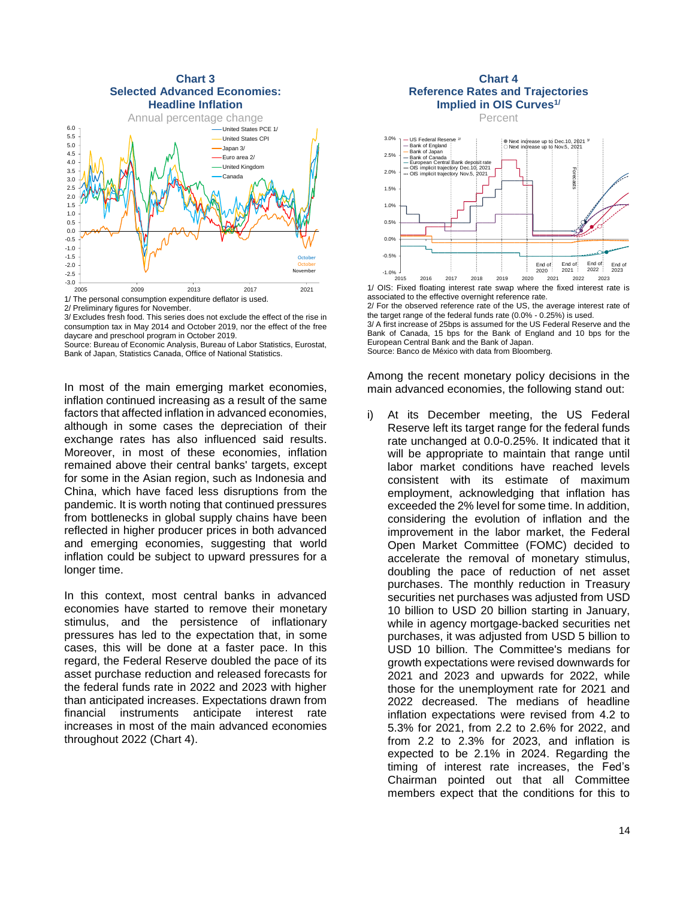<span id="page-15-0"></span>



<sup>2/</sup> Preliminary figures for November.

3/ Excludes fresh food. This series does not exclude the effect of the rise in consumption tax in May 2014 and October 2019, nor the effect of the free daycare and preschool program in October 2019.

Source: Bureau of Economic Analysis, Bureau of Labor Statistics, Eurostat, Bank of Japan, Statistics Canada, Office of National Statistics.

In most of the main emerging market economies, inflation continued increasing as a result of the same factors that affected inflation in advanced economies, although in some cases the depreciation of their exchange rates has also influenced said results. Moreover, in most of these economies, inflation remained above their central banks' targets, except for some in the Asian region, such as Indonesia and China, which have faced less disruptions from the pandemic. It is worth noting that continued pressures from bottlenecks in global supply chains have been reflected in higher producer prices in both advanced and emerging economies, suggesting that world inflation could be subject to upward pressures for a longer time.

In this context, most central banks in advanced economies have started to remove their monetary stimulus, and the persistence of inflationary pressures has led to the expectation that, in some cases, this will be done at a faster pace. In this regard, the Federal Reserve doubled the pace of its asset purchase reduction and released forecasts for the federal funds rate in 2022 and 2023 with higher than anticipated increases. Expectations drawn from financial instruments anticipate interest rate increases in most of the main advanced economies throughout 2022 [\(Chart 4\)](#page-15-1).

#### <span id="page-15-1"></span>**Chart 4 Reference Rates and Trajectories Implied in OIS Curves1/**

Percent



1/ OIS: Fixed floating interest rate swap where the fixed interest rate is associated to the effective overnight reference rate. 2/ For the observed reference rate of the US, the average interest rate of the target range of the federal funds rate (0.0% - 0.25%) is used. 3/ A first increase of 25bps is assumed for the US Federal Reserve and the Bank of Canada, 15 bps for the Bank of England and 10 bps for the European Central Bank and the Bank of Japan. Source: Banco de México with data from Bloomberg.

Among the recent monetary policy decisions in the main advanced economies, the following stand out:

i) At its December meeting, the US Federal Reserve left its target range for the federal funds rate unchanged at 0.0-0.25%. It indicated that it will be appropriate to maintain that range until labor market conditions have reached levels consistent with its estimate of maximum employment, acknowledging that inflation has exceeded the 2% level for some time. In addition, considering the evolution of inflation and the improvement in the labor market, the Federal Open Market Committee (FOMC) decided to accelerate the removal of monetary stimulus, doubling the pace of reduction of net asset purchases. The monthly reduction in Treasury securities net purchases was adjusted from USD 10 billion to USD 20 billion starting in January, while in agency mortgage-backed securities net purchases, it was adjusted from USD 5 billion to USD 10 billion. The Committee's medians for growth expectations were revised downwards for 2021 and 2023 and upwards for 2022, while those for the unemployment rate for 2021 and 2022 decreased. The medians of headline inflation expectations were revised from 4.2 to 5.3% for 2021, from 2.2 to 2.6% for 2022, and from 2.2 to 2.3% for 2023, and inflation is expected to be 2.1% in 2024. Regarding the timing of interest rate increases, the Fed's Chairman pointed out that all Committee members expect that the conditions for this to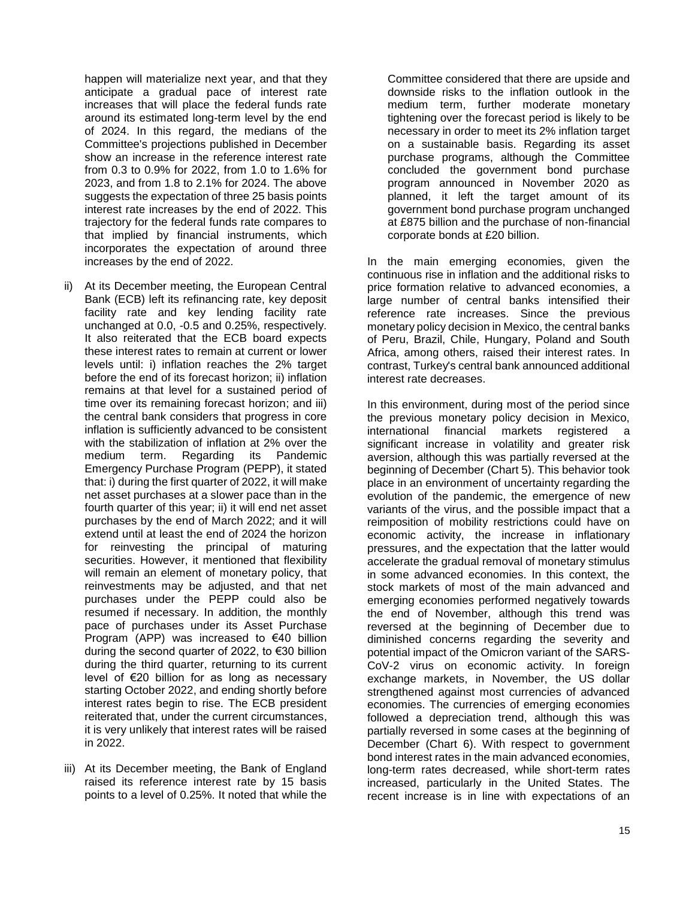happen will materialize next year, and that they anticipate a gradual pace of interest rate increases that will place the federal funds rate around its estimated long-term level by the end of 2024. In this regard, the medians of the Committee's projections published in December show an increase in the reference interest rate from 0.3 to 0.9% for 2022, from 1.0 to 1.6% for 2023, and from 1.8 to 2.1% for 2024. The above suggests the expectation of three 25 basis points interest rate increases by the end of 2022. This trajectory for the federal funds rate compares to that implied by financial instruments, which incorporates the expectation of around three increases by the end of 2022.

- ii) At its December meeting, the European Central Bank (ECB) left its refinancing rate, key deposit facility rate and key lending facility rate unchanged at 0.0, -0.5 and 0.25%, respectively. It also reiterated that the ECB board expects these interest rates to remain at current or lower levels until: i) inflation reaches the 2% target before the end of its forecast horizon; ii) inflation remains at that level for a sustained period of time over its remaining forecast horizon; and iii) the central bank considers that progress in core inflation is sufficiently advanced to be consistent with the stabilization of inflation at 2% over the medium term. Regarding its Pandemic Emergency Purchase Program (PEPP), it stated that: i) during the first quarter of 2022, it will make net asset purchases at a slower pace than in the fourth quarter of this year; ii) it will end net asset purchases by the end of March 2022; and it will extend until at least the end of 2024 the horizon for reinvesting the principal of maturing securities. However, it mentioned that flexibility will remain an element of monetary policy, that reinvestments may be adjusted, and that net purchases under the PEPP could also be resumed if necessary. In addition, the monthly pace of purchases under its Asset Purchase Program (APP) was increased to €40 billion during the second quarter of 2022, to €30 billion during the third quarter, returning to its current level of €20 billion for as long as necessary starting October 2022, and ending shortly before interest rates begin to rise. The ECB president reiterated that, under the current circumstances, it is very unlikely that interest rates will be raised in 2022.
- iii) At its December meeting, the Bank of England raised its reference interest rate by 15 basis points to a level of 0.25%. It noted that while the

Committee considered that there are upside and downside risks to the inflation outlook in the medium term, further moderate monetary tightening over the forecast period is likely to be necessary in order to meet its 2% inflation target on a sustainable basis. Regarding its asset purchase programs, although the Committee concluded the government bond purchase program announced in November 2020 as planned, it left the target amount of its government bond purchase program unchanged at £875 billion and the purchase of non-financial corporate bonds at £20 billion.

In the main emerging economies, given the continuous rise in inflation and the additional risks to price formation relative to advanced economies, a large number of central banks intensified their reference rate increases. Since the previous monetary policy decision in Mexico, the central banks of Peru, Brazil, Chile, Hungary, Poland and South Africa, among others, raised their interest rates. In contrast, Turkey's central bank announced additional interest rate decreases.

In this environment, during most of the period since the previous monetary policy decision in Mexico, international financial markets registered a significant increase in volatility and greater risk aversion, although this was partially reversed at the beginning of December [\(Chart 5\)](#page-17-0). This behavior took place in an environment of uncertainty regarding the evolution of the pandemic, the emergence of new variants of the virus, and the possible impact that a reimposition of mobility restrictions could have on economic activity, the increase in inflationary pressures, and the expectation that the latter would accelerate the gradual removal of monetary stimulus in some advanced economies. In this context, the stock markets of most of the main advanced and emerging economies performed negatively towards the end of November, although this trend was reversed at the beginning of December due to diminished concerns regarding the severity and potential impact of the Omicron variant of the SARS-CoV-2 virus on economic activity. In foreign exchange markets, in November, the US dollar strengthened against most currencies of advanced economies. The currencies of emerging economies followed a depreciation trend, although this was partially reversed in some cases at the beginning of December [\(Chart 6\)](#page-17-1). With respect to government bond interest rates in the main advanced economies, long-term rates decreased, while short-term rates increased, particularly in the United States. The recent increase is in line with expectations of an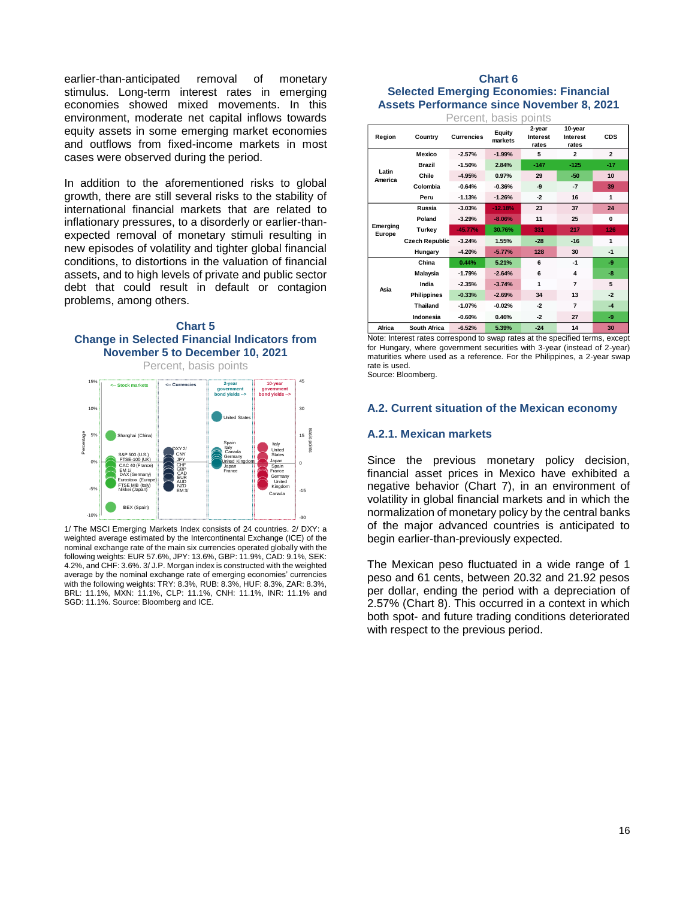earlier-than-anticipated removal of monetary stimulus. Long-term interest rates in emerging economies showed mixed movements. In this environment, moderate net capital inflows towards equity assets in some emerging market economies and outflows from fixed-income markets in most cases were observed during the period.

In addition to the aforementioned risks to global growth, there are still several risks to the stability of international financial markets that are related to inflationary pressures, to a disorderly or earlier-thanexpected removal of monetary stimuli resulting in new episodes of volatility and tighter global financial conditions, to distortions in the valuation of financial assets, and to high levels of private and public sector debt that could result in default or contagion problems, among others.

#### <span id="page-17-0"></span>**Chart 5 Change in Selected Financial Indicators from November 5 to December 10, 2021**



1/ The MSCI Emerging Markets Index consists of 24 countries. 2/ DXY: a weighted average estimated by the Intercontinental Exchange (ICE) of the nominal exchange rate of the main six currencies operated globally with the following weights: EUR 57.6%, JPY: 13.6%, GBP: 11.9%, CAD: 9.1%, SEK: 4.2%, and CHF: 3.6%. 3/ J.P. Morgan index is constructed with the weighted average by the nominal exchange rate of emerging economies' currencies with the following weights: TRY: 8.3%, RUB: 8.3%, HUF: 8.3%, ZAR: 8.3%, BRL: 11.1%, MXN: 11.1%, CLP: 11.1%, CNH: 11.1%, INR: 11.1% and SGD: 11.1%. Source: Bloomberg and ICE.

#### <span id="page-17-1"></span>**Chart 6 Selected Emerging Economies: Financial Assets Performance since November 8, 2021**

| vards         |                    |                                                                                                                                                                                                                                                           | Percent, basis points |                   |                                    |                                     |                |
|---------------|--------------------|-----------------------------------------------------------------------------------------------------------------------------------------------------------------------------------------------------------------------------------------------------------|-----------------------|-------------------|------------------------------------|-------------------------------------|----------------|
| omies<br>most | Region             | Country                                                                                                                                                                                                                                                   | <b>Currencies</b>     | Equity<br>markets | 2-vear<br><b>Interest</b><br>rates | 10-year<br><b>Interest</b><br>rates | <b>CDS</b>     |
|               |                    | Mexico                                                                                                                                                                                                                                                    | $-2.57%$              | $-1.99%$          | 5                                  | $\overline{2}$                      | $\overline{2}$ |
|               |                    | <b>Brazil</b>                                                                                                                                                                                                                                             | $-1.50%$              | 2.84%             | $-147$                             | $-125$                              | $-17$          |
|               | Latin<br>America   | Chile                                                                                                                                                                                                                                                     | $-4.95%$              | 0.97%             | 29                                 | $-50$                               | 10             |
| global        |                    | Colombia                                                                                                                                                                                                                                                  | $-0.64%$              | $-0.36%$          | -9                                 | -7                                  | 39             |
| lity of       |                    | Peru                                                                                                                                                                                                                                                      | $-1.13%$              | $-1.26%$          | $-2$                               | 16                                  | 1              |
| ed to         |                    | Russia                                                                                                                                                                                                                                                    | $-3.03%$              | $-12.18%$         | 23                                 | 37                                  | 24             |
| -than-        |                    | Poland                                                                                                                                                                                                                                                    | $-3.29%$              | $-8.06%$          | 11                                 | 25                                  | 0              |
|               | Emerging<br>Europe | Turkey                                                                                                                                                                                                                                                    | $-45.77%$             | 30.76%            | 331                                | 217                                 | 126            |
| ng in         |                    | <b>Czech Republic</b>                                                                                                                                                                                                                                     | $-3.24%$              | 1.55%             | $-28$                              | $-16$                               | 1              |
| ancial        |                    | Hungary                                                                                                                                                                                                                                                   | $-4.20%$              | $-5.77%$          | 128                                | 30                                  | $-1$           |
| ancial        |                    | China                                                                                                                                                                                                                                                     | 0.44%                 | 5.21%             | 6                                  | $-1$                                | -9             |
| ector         |                    | Malaysia                                                                                                                                                                                                                                                  | $-1.79%$              | $-2.64%$          | 6                                  | 4                                   | -8             |
| agion         | Asia               | India                                                                                                                                                                                                                                                     | $-2.35%$              | $-3.74%$          | 1                                  | 7                                   | 5              |
|               |                    | <b>Philippines</b>                                                                                                                                                                                                                                        | $-0.33%$              | $-2.69%$          | 34                                 | 13                                  | $-2$           |
|               |                    | Thailand                                                                                                                                                                                                                                                  | $-1.07%$              | $-0.02%$          | $-2$                               | 7                                   | $-4$           |
|               |                    | Indonesia                                                                                                                                                                                                                                                 | $-0.60%$              | 0.46%             | $-2$                               | 27                                  | -9             |
|               | Africa             | South Africa                                                                                                                                                                                                                                              | $-6.52%$              | 5.39%             | $-24$                              | 14                                  | 30             |
| om<br>45      | rate is used.      | Note: Interest rates correspond to swap rates at the specified terms, excep<br>for Hungary, where government securities with 3-year (instead of 2-year)<br>maturities where used as a reference. For the Philippines, a 2-year swap<br>Source: Bloomberg. |                       |                   |                                    |                                     |                |

#### **A.2. Current situation of the Mexican economy**

#### **A.2.1. Mexican markets**

Since the previous monetary policy decision, financial asset prices in Mexico have exhibited a negative behavior [\(Chart 7\)](#page-18-0), in an environment of volatility in global financial markets and in which the normalization of monetary policy by the central banks of the major advanced countries is anticipated to begin earlier-than-previously expected.

The Mexican peso fluctuated in a wide range of 1 peso and 61 cents, between 20.32 and 21.92 pesos per dollar, ending the period with a depreciation of 2.57% [\(Chart](#page-18-1) 8). This occurred in a context in which both spot- and future trading conditions deteriorated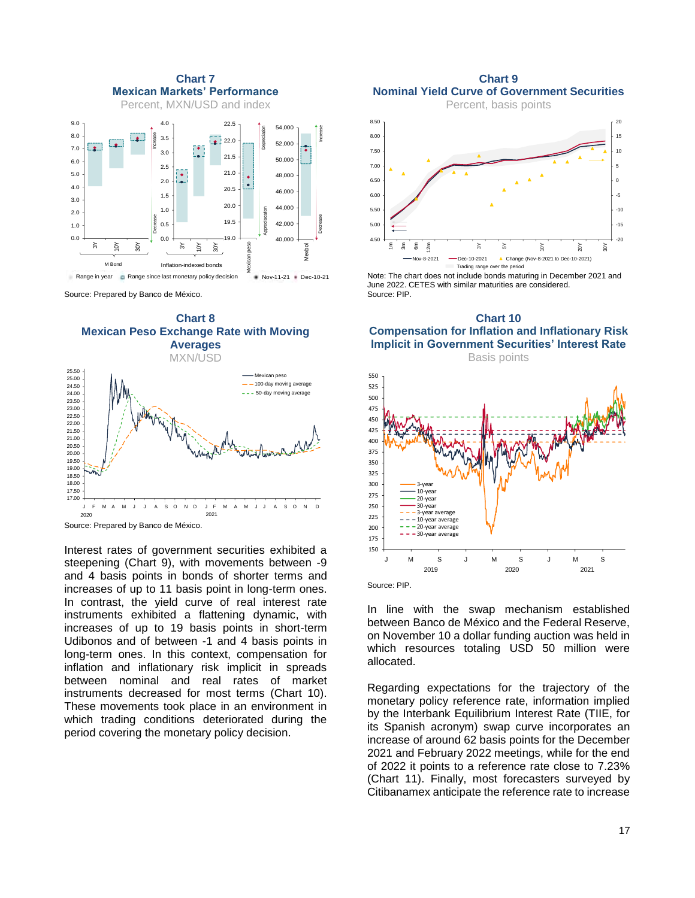<span id="page-18-0"></span>

Source: Prepared by Banco de México.

<span id="page-18-1"></span>

Source: Prepared by Banco de México.

Interest rates of government securities exhibited a steepening [\(Chart](#page-18-2) 9), with movements between -9 and 4 basis points in bonds of shorter terms and increases of up to 11 basis point in long-term ones. In contrast, the yield curve of real interest rate instruments exhibited a flattening dynamic, with increases of up to 19 basis points in short-term Udibonos and of between -1 and 4 basis points in long-term ones. In this context, compensation for inflation and inflationary risk implicit in spreads between nominal and real rates of market instruments decreased for most terms [\(Chart 10\)](#page-18-3). These movements took place in an environment in which trading conditions deteriorated during the period covering the monetary policy decision.

<span id="page-18-2"></span>**Chart 9 Nominal Yield Curve of Government Securities**

Percent, basis points



Note: The chart does not include bonds maturing in December 2021 and June 2022. CETES with similar maturities are considered. Source: PIP.

<span id="page-18-3"></span>**Chart 10 Compensation for Inflation and Inflationary Risk Implicit in Government Securities' Interest Rate**



In line with the swap mechanism established between Banco de México and the Federal Reserve, on November 10 a dollar funding auction was held in which resources totaling USD 50 million were allocated.

Regarding expectations for the trajectory of the monetary policy reference rate, information implied by the Interbank Equilibrium Interest Rate (TIIE, for its Spanish acronym) swap curve incorporates an increase of around 62 basis points for the December 2021 and February 2022 meetings, while for the end of 2022 it points to a reference rate close to 7.23% [\(Chart](#page-19-0) 11). Finally, most forecasters surveyed by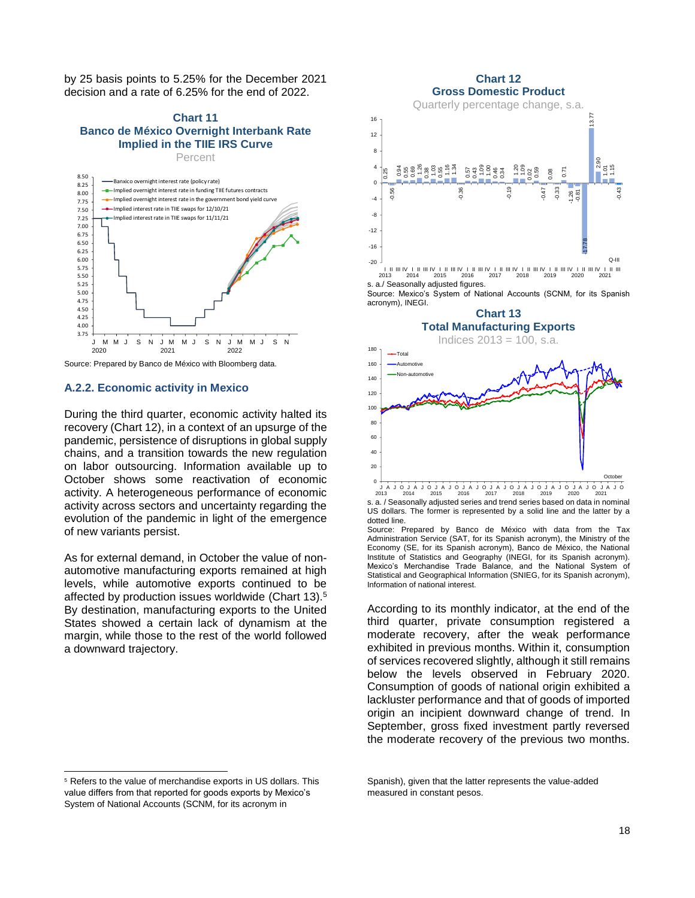by 25 basis points to 5.25% for the December 2021 decision and a rate of 6.25% for the end of 2022.

<span id="page-19-0"></span>

Source: Prepared by Banco de México with Bloomberg data.

#### **A.2.2. Economic activity in Mexico**

During the third quarter, economic activity halted its recovery [\(Chart](#page-19-1) 12), in a context of an upsurge of the pandemic, persistence of disruptions in global supply chains, and a transition towards the new regulation on labor outsourcing. Information available up to October shows some reactivation of economic activity. A heterogeneous performance of economic activity across sectors and uncertainty regarding the evolution of the pandemic in light of the emergence of new variants persist.

As for external demand, in October the value of nonautomotive manufacturing exports remained at high levels, while automotive exports continued to be affected by production issues worldwide [\(Chart](#page-19-2) 13). 5 By destination, manufacturing exports to the United States showed a certain lack of dynamism at the margin, while those to the rest of the world followed a downward trajectory.

# <span id="page-19-1"></span>**Gross Domestic Product** Quarterly percentage change, s.a. -0.56 0.94 0.55 0.69 1.26 0.38 1.03 0.55 1.16 1.34 -0.36<br>-0.01 1.000<br>-0.000 1.000<br>-0.36<br>-0.36<br>-0.75  $-0.19$  1.20<br> $-1.09$  0.52<br> $-0.59$  0.59<br> $-0.59$  0.47  $\begin{bmatrix} 0.47 & 0.08 \\ 0.33 & 0.08 \end{bmatrix}$ -0.33 **|**<br>-1.26 <del>|</del><br>-0.81 |<br>-0.81 | -17.78  $\begin{bmatrix} 2.90 & 13.77 \\ 1.01 & 2.90 \\ 1.15 & 1.15 \end{bmatrix}$

**Chart 12**

<span id="page-19-2"></span>

-16 -12 -8 -4  $\Omega$ 4 8 12 16

s. a. / Seasonally adjusted series and trend series based on data in nominal US dollars. The former is represented by a solid line and the latter by a dotted line.

Source: Prepared by Banco de México with data from the Tax Administration Service (SAT, for its Spanish acronym), the Ministry of the Economy (SE, for its Spanish acronym), Banco de México, the National Institute of Statistics and Geography (INEGI, for its Spanish acronym). Mexico's Merchandise Trade Balance, and the National System of Statistical and Geographical Information (SNIEG, for its Spanish acronym), Information of national interest.

According to its monthly indicator, at the end of the third quarter, private consumption registered a moderate recovery, after the weak performance exhibited in previous months. Within it, consumption of services recovered slightly, although it still remains below the levels observed in February 2020. Consumption of goods of national origin exhibited a lackluster performance and that of goods of imported origin an incipient downward change of trend. In September, gross fixed investment partly reversed the moderate recovery of the previous two months.

l

-0.43

<sup>&</sup>lt;sup>5</sup> Refers to the value of merchandise exports in US dollars. This value differs from that reported for goods exports by Mexico's System of National Accounts (SCNM, for its acronym in

Spanish), given that the latter represents the value-added measured in constant pesos.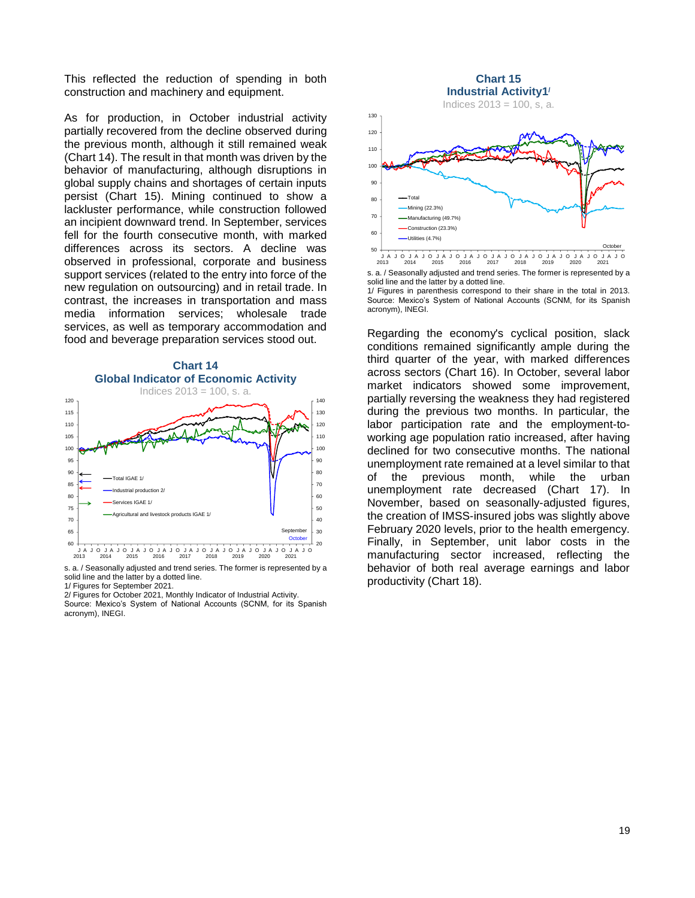This reflected the reduction of spending in both construction and machinery and equipment.

As for production, in October industrial activity partially recovered from the decline observed during the previous month, although it still remained weak [\(Chart](#page-20-0) 14). The result in that month was driven by the behavior of manufacturing, although disruptions in global supply chains and shortages of certain inputs persist [\(Chart](#page-20-1) 15). Mining continued to show a lackluster performance, while construction followed an incipient downward trend. In September, services fell for the fourth consecutive month, with marked differences across its sectors. A decline was observed in professional, corporate and business support services (related to the entry into force of the new regulation on outsourcing) and in retail trade. In contrast, the increases in transportation and mass media information services; wholesale trade services, as well as temporary accommodation and food and beverage preparation services stood out.

<span id="page-20-0"></span>

s. a. / Seasonally adjusted and trend series. The former is represented by a solid line and the latter by a dotted line.

1/ Figures for September 2021.

2/ Figures for October 2021, Monthly Indicator of Industrial Activity. Source: Mexico's System of National Accounts (SCNM, for its Spanish acronym), INEGI.

<span id="page-20-1"></span>

**Chart 15**

s. a. / Seasonally adjusted and trend series. The former is represented by a solid line and the latter by a dotted line. 1/ Figures in parenthesis correspond to their share in the total in 2013. Source: Mexico's System of National Accounts (SCNM, for its Spanish acronym), INEGI.

Regarding the economy's cyclical position, slack conditions remained significantly ample during the third quarter of the year, with marked differences across sectors [\(Chart](#page-21-0) 16). In October, several labor market indicators showed some improvement, partially reversing the weakness they had registered during the previous two months. In particular, the labor participation rate and the employment-toworking age population ratio increased, after having declined for two consecutive months. The national unemployment rate remained at a level similar to that of the previous month, while the urban unemployment rate decreased [\(Chart](#page-21-1) 17). In November, based on seasonally-adjusted figures, the creation of IMSS-insured jobs was slightly above February 2020 levels, prior to the health emergency. Finally, in September, unit labor costs in the manufacturing sector increased, reflecting the behavior of both real average earnings and labor productivity [\(Chart](#page-21-2) 18).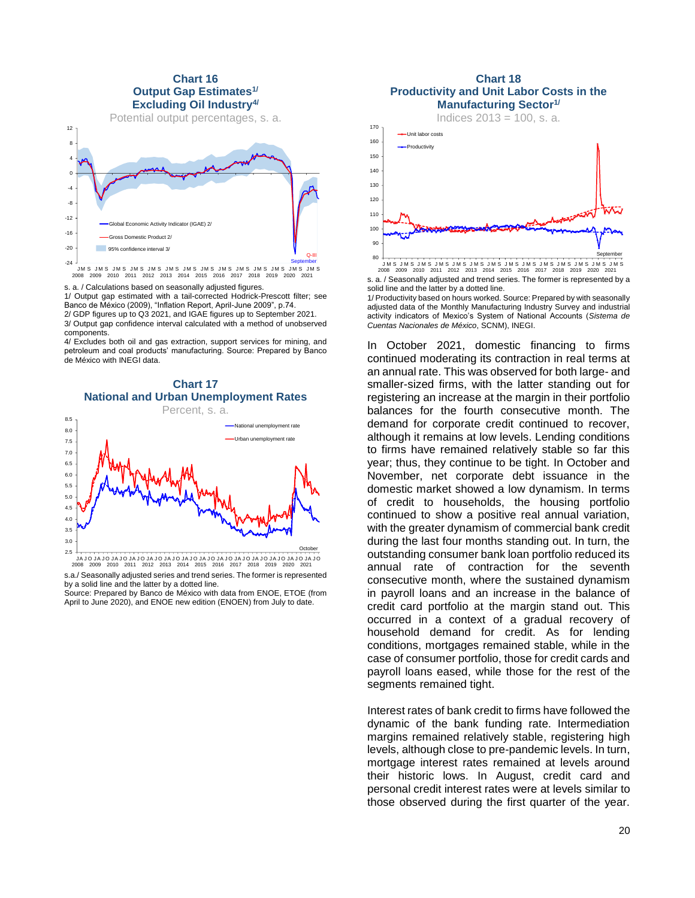#### **Chart 16 Output Gap Estimates1/ Excluding Oil Industry4/**

<span id="page-21-0"></span>

s. a. / Calculations based on seasonally adjusted figures.

1/ Output gap estimated with a tail-corrected Hodrick-Prescott filter; see Banco de México (2009), "Inflation Report, April-June 2009", p.74. 2/ GDP figures up to Q3 2021, and IGAE figures up to September 2021. 3/ Output gap confidence interval calculated with a method of unobserved components.

4/ Excludes both oil and gas extraction, support services for mining, and petroleum and coal products' manufacturing. Source: Prepared by Banco de México with INEGI data.

<span id="page-21-1"></span>



s.a./ Seasonally adjusted series and trend series. The former is represented by a solid line and the latter by a dotted line.

Source: Prepared by Banco de México with data from ENOE, ETOE (from April to June 2020), and ENOE new edition (ENOEN) from July to date.

#### <span id="page-21-2"></span>**Chart 18 Productivity and Unit Labor Costs in the Manufacturing Sector1/**



s. a. / Seasonally adjusted and trend series. The former is represented by a solid line and the latter by a dotted line.

1/ Productivity based on hours worked. Source: Prepared by with seasonally adjusted data of the Monthly Manufacturing Industry Survey and industrial activity indicators of Mexico's System of National Accounts (*Sistema de Cuentas Nacionales de México*, SCNM), INEGI.

In October 2021, domestic financing to firms continued moderating its contraction in real terms at an annual rate. This was observed for both large- and smaller-sized firms, with the latter standing out for registering an increase at the margin in their portfolio balances for the fourth consecutive month. The demand for corporate credit continued to recover, although it remains at low levels. Lending conditions to firms have remained relatively stable so far this year; thus, they continue to be tight. In October and November, net corporate debt issuance in the domestic market showed a low dynamism. In terms of credit to households, the housing portfolio continued to show a positive real annual variation, with the greater dynamism of commercial bank credit during the last four months standing out. In turn, the outstanding consumer bank loan portfolio reduced its annual rate of contraction for the seventh consecutive month, where the sustained dynamism in payroll loans and an increase in the balance of credit card portfolio at the margin stand out. This occurred in a context of a gradual recovery of household demand for credit. As for lending conditions, mortgages remained stable, while in the case of consumer portfolio, those for credit cards and payroll loans eased, while those for the rest of the segments remained tight. Marine and Barried Cuelember<br>
Benther 8<br>
2021.<br>
Bent adjust active clue.<br>
Bent adjust active clue.<br>
Served I/Predigion<br>
served II<br>
Served In Core and Sm Served Dalla<br>
Served In Core and Sm Served Dalla<br>
der alth to 1<br>
yea

> Interest rates of bank credit to firms have followed the dynamic of the bank funding rate. Intermediation margins remained relatively stable, registering high levels, although close to pre-pandemic levels. In turn, mortgage interest rates remained at levels around their historic lows. In August, credit card and personal credit interest rates were at levels similar to those observed during the first quarter of the year.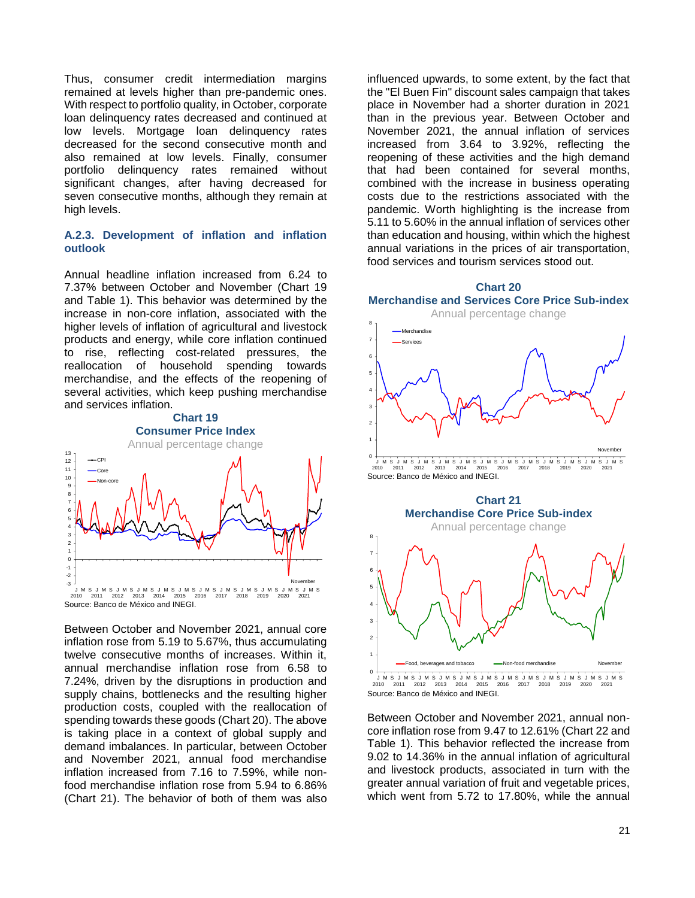Thus, consumer credit intermediation margins remained at levels higher than pre-pandemic ones. With respect to portfolio quality, in October, corporate loan delinquency rates decreased and continued at low levels. Mortgage loan delinquency rates decreased for the second consecutive month and also remained at low levels. Finally, consumer portfolio delinquency rates remained without significant changes, after having decreased for seven consecutive months, although they remain at high levels.

#### **A.2.3. Development of inflation and inflation outlook**

Annual headline inflation increased from 6.24 to 7.37% between October and November [\(Chart](#page-22-0) 19 and [Table](#page-24-0) 1). This behavior was determined by the increase in non-core inflation, associated with the higher levels of inflation of agricultural and livestock products and energy, while core inflation continued to rise, reflecting cost-related pressures, the reallocation of household spending towards merchandise, and the effects of the reopening of several activities, which keep pushing merchandise and services inflation.

<span id="page-22-0"></span>

Between October and November 2021, annual core inflation rose from 5.19 to 5.67%, thus accumulating twelve consecutive months of increases. Within it, annual merchandise inflation rose from 6.58 to 7.24%, driven by the disruptions in production and supply chains, bottlenecks and the resulting higher production costs, coupled with the reallocation of spending towards these goods [\(Chart](#page-22-1) 20). The above is taking place in a context of global supply and demand imbalances. In particular, between October and November 2021, annual food merchandise inflation increased from 7.16 to 7.59%, while nonfood merchandise inflation rose from 5.94 to 6.86% [\(Chart](#page-22-2) 21). The behavior of both of them was also

influenced upwards, to some extent, by the fact that the "El Buen Fin" discount sales campaign that takes place in November had a shorter duration in 2021 than in the previous year. Between October and November 2021, the annual inflation of services increased from 3.64 to 3.92%, reflecting the reopening of these activities and the high demand that had been contained for several months, combined with the increase in business operating costs due to the restrictions associated with the pandemic. Worth highlighting is the increase from 5.11 to 5.60% in the annual inflation of services other than education and housing, within which the highest annual variations in the prices of air transportation, food services and tourism services stood out.

<span id="page-22-1"></span>

<span id="page-22-2"></span>Between October and November 2021, annual noncore inflation rose from 9.47 to 12.61% [\(Chart 22](#page-23-0) and [Table](#page-24-0) 1). This behavior reflected the increase from 9.02 to 14.36% in the annual inflation of agricultural and livestock products, associated in turn with the greater annual variation of fruit and vegetable prices, which went from 5.72 to 17.80%, while the annual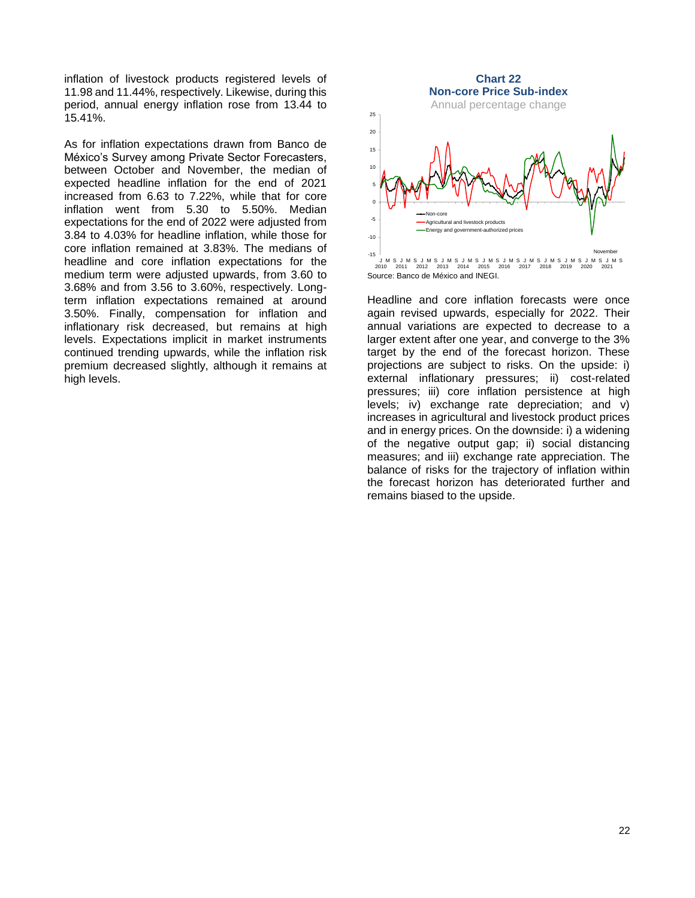inflation of livestock products registered levels of 11.98 and 11.44%, respectively. Likewise, during this period, annual energy inflation rose from 13.44 to 15.41%.

As for inflation expectations drawn from Banco de México's Survey among Private Sector Forecasters, between October and November, the median of expected headline inflation for the end of 2021 increased from 6.63 to 7.22%, while that for core inflation went from 5.30 to 5.50%. Median expectations for the end of 2022 were adjusted from 3.84 to 4.03% for headline inflation, while those for core inflation remained at 3.83%. The medians of headline and core inflation expectations for the medium term were adjusted upwards, from 3.60 to 3.68% and from 3.56 to 3.60%, respectively. Longterm inflation expectations remained at around 3.50%. Finally, compensation for inflation and inflationary risk decreased, but remains at high levels. Expectations implicit in market instruments continued trending upwards, while the inflation risk premium decreased slightly, although it remains at high levels.

<span id="page-23-0"></span>

Headline and core inflation forecasts were once again revised upwards, especially for 2022. Their annual variations are expected to decrease to a larger extent after one year, and converge to the 3% target by the end of the forecast horizon. These projections are subject to risks. On the upside: i) external inflationary pressures; ii) cost-related pressures; iii) core inflation persistence at high levels; iv) exchange rate depreciation; and v) increases in agricultural and livestock product prices and in energy prices. On the downside: i) a widening of the negative output gap; ii) social distancing measures; and iii) exchange rate appreciation. The balance of risks for the trajectory of inflation within the forecast horizon has deteriorated further and remains biased to the upside.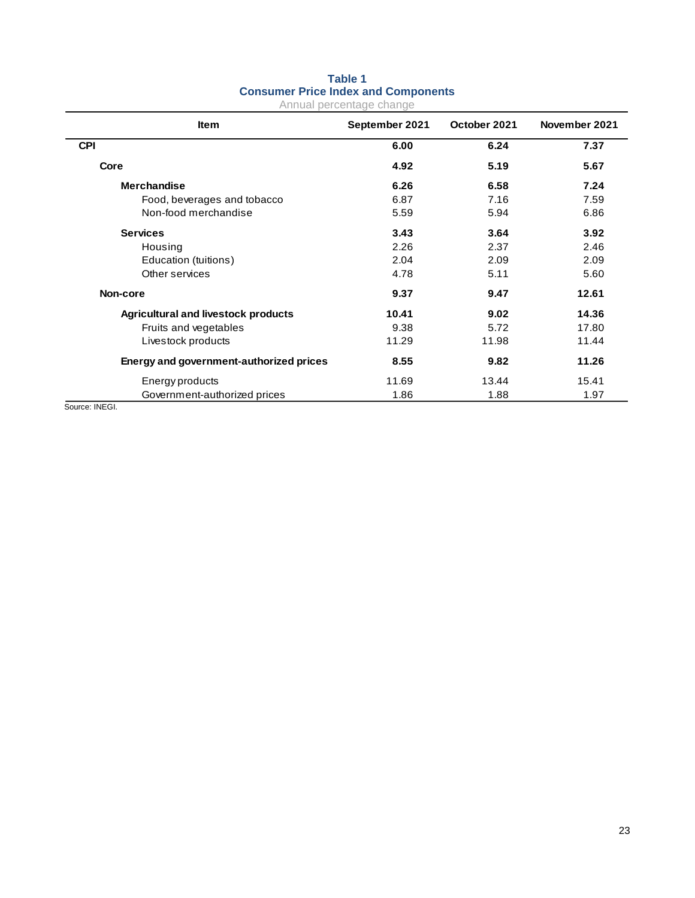## **Table 1 Consumer Price Index and Components**

Annual percentage change

<span id="page-24-0"></span>

| <b>Item</b>                                | September 2021 | October 2021 | November 2021 |
|--------------------------------------------|----------------|--------------|---------------|
| <b>CPI</b>                                 | 6.00           | 6.24         | 7.37          |
| Core                                       | 4.92           | 5.19         | 5.67          |
| <b>Merchandise</b>                         | 6.26           | 6.58         | 7.24          |
| Food, beverages and tobacco                | 6.87           | 7.16         | 7.59          |
| Non-food merchandise                       | 5.59           | 5.94         | 6.86          |
| <b>Services</b>                            | 3.43           | 3.64         | 3.92          |
| Housing                                    | 2.26           | 2.37         | 2.46          |
| Education (tuitions)                       | 2.04           | 2.09         | 2.09          |
| Other services                             | 4.78           | 5.11         | 5.60          |
| Non-core                                   | 9.37           | 9.47         | 12.61         |
| <b>Agricultural and livestock products</b> | 10.41          | 9.02         | 14.36         |
| Fruits and vegetables                      | 9.38           | 5.72         | 17.80         |
| Livestock products                         | 11.29          | 11.98        | 11.44         |
| Energy and government-authorized prices    | 8.55           | 9.82         | 11.26         |
| Energy products                            | 11.69          | 13.44        | 15.41         |
| Government-authorized prices               | 1.86           | 1.88         | 1.97          |

Source: INEGI.